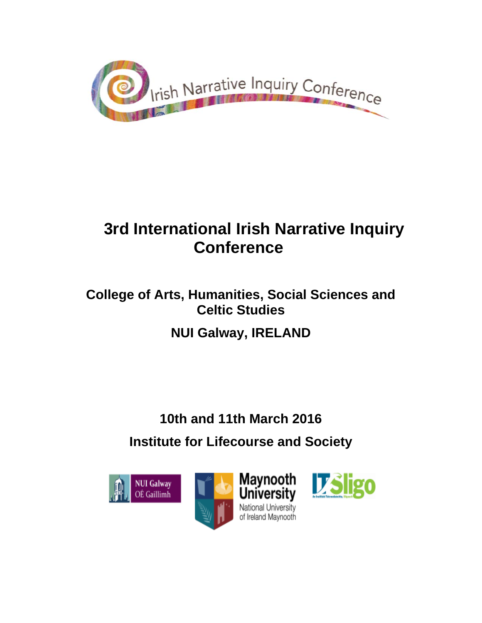

# **3rd International Irish Narrative Inquiry Conference**

# **College of Arts, Humanities, Social Sciences and Celtic Studies**

# **NUI Galway, IRELAND**

# **10th and 11th March 2016 Institute for Lifecourse and Society**

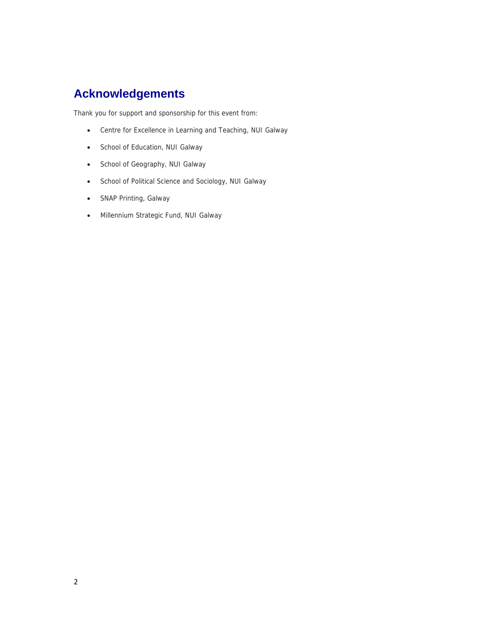### **Acknowledgements**

Thank you for support and sponsorship for this event from:

- Centre for Excellence in Learning and Teaching, NUI Galway
- School of Education, NUI Galway
- School of Geography, NUI Galway
- School of Political Science and Sociology, NUI Galway
- SNAP Printing, Galway
- Millennium Strategic Fund, NUI Galway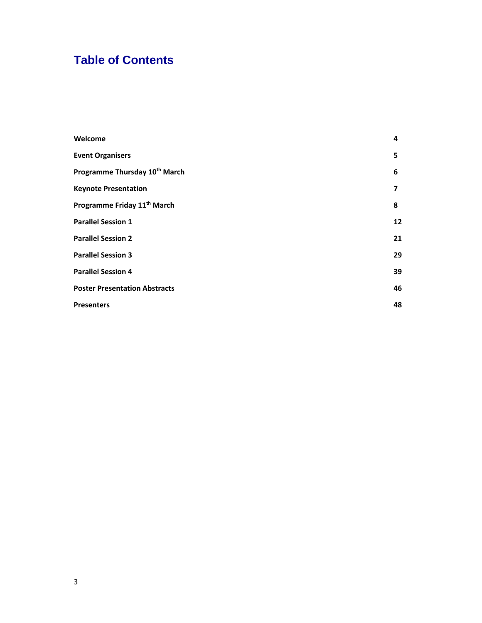### **Table of Contents**

| Welcome                                   | 4  |
|-------------------------------------------|----|
| <b>Event Organisers</b>                   | 5  |
| Programme Thursday 10 <sup>th</sup> March | 6  |
| <b>Keynote Presentation</b>               | 7  |
| Programme Friday 11 <sup>th</sup> March   | 8  |
| <b>Parallel Session 1</b>                 | 12 |
| <b>Parallel Session 2</b>                 | 21 |
| <b>Parallel Session 3</b>                 | 29 |
| <b>Parallel Session 4</b>                 | 39 |
| <b>Poster Presentation Abstracts</b>      | 46 |
| <b>Presenters</b>                         | 48 |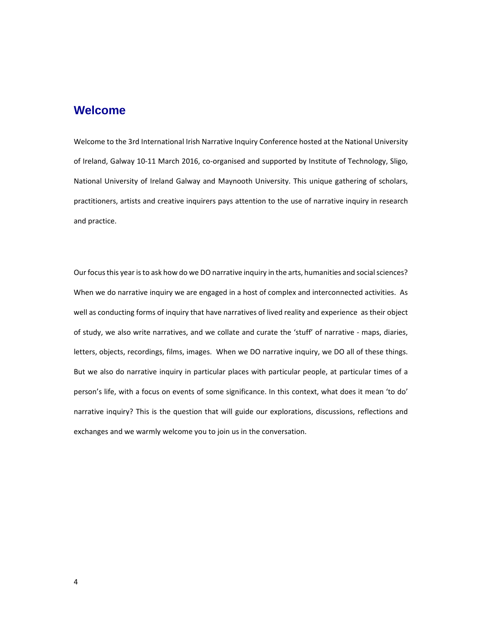### **Welcome**

Welcome to the 3rd International Irish Narrative Inquiry Conference hosted at the National University of Ireland, Galway 10-11 March 2016, co-organised and supported by Institute of Technology, Sligo, National University of Ireland Galway and Maynooth University. This unique gathering of scholars, practitioners, artists and creative inquirers pays attention to the use of narrative inquiry in research and practice.

Our focus this year is to ask how do we DO narrative inquiry in the arts, humanities and social sciences? When we do narrative inquiry we are engaged in a host of complex and interconnected activities. As well as conducting forms of inquiry that have narratives of lived reality and experience as their object of study, we also write narratives, and we collate and curate the 'stuff' of narrative - maps, diaries, letters, objects, recordings, films, images. When we DO narrative inquiry, we DO all of these things. But we also do narrative inquiry in particular places with particular people, at particular times of a person's life, with a focus on events of some significance. In this context, what does it mean 'to do' narrative inquiry? This is the question that will guide our explorations, discussions, reflections and exchanges and we warmly welcome you to join us in the conversation.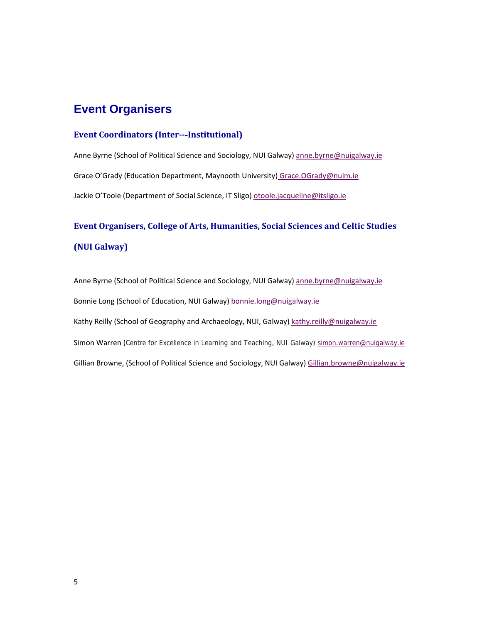### **Event Organisers**

#### **Event Coordinators (Inter‐‐**‐**Institutional)**

Anne Byrne (School of Political Science and Sociology, NUI Galway) anne.byrne@nuigalway.ie Grace O'Grady (Education Department, Maynooth University) Grace.OGrady@nuim.ie Jackie O'Toole (Department of Social Science, IT Sligo) otoole.jacqueline@itsligo.ie

### **Event Organisers, College of Arts, Humanities, Social Sciences and Celtic Studies (NUI Galway)**

Anne Byrne (School of Political Science and Sociology, NUI Galway) anne.byrne@nuigalway.ie Bonnie Long (School of Education, NUI Galway) bonnie.long@nuigalway.ie Kathy Reilly (School of Geography and Archaeology, NUI, Galway) kathy.reilly@nuigalway.ie Simon Warren (Centre for Excellence in Learning and Teaching, NUI Galway) simon.warren@nuigalway.ie Gillian Browne, (School of Political Science and Sociology, NUI Galway) Gillian.browne@nuigalway.ie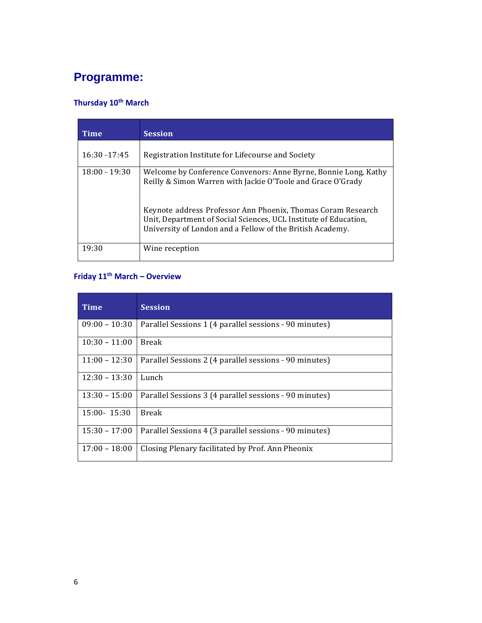## **Programme:**

### **Thursday 10th March**

| Time            | <b>Session</b>                                                                                                                                                                                |
|-----------------|-----------------------------------------------------------------------------------------------------------------------------------------------------------------------------------------------|
| $16:30-17:45$   | Registration Institute for Lifecourse and Society                                                                                                                                             |
| $18:00 - 19:30$ | Welcome by Conference Convenors: Anne Byrne, Bonnie Long, Kathy<br>Reilly & Simon Warren with Jackie O'Toole and Grace O'Grady                                                                |
|                 | Keynote address Professor Ann Phoenix, Thomas Coram Research<br>Unit, Department of Social Sciences, UCL Institute of Education,<br>University of London and a Fellow of the British Academy. |
| 19:30           | Wine reception                                                                                                                                                                                |

### **Friday 11th March – Overview**

| <b>Time</b>     | <b>Session</b>                                         |
|-----------------|--------------------------------------------------------|
| $09:00 - 10:30$ | Parallel Sessions 1 (4 parallel sessions - 90 minutes) |
| $10:30 - 11:00$ | <b>Break</b>                                           |
| $11.00 - 12.30$ | Parallel Sessions 2 (4 parallel sessions - 90 minutes) |
| $12:30 - 13:30$ | Lunch                                                  |
| $13:30 - 15:00$ | Parallel Sessions 3 (4 parallel sessions - 90 minutes) |
| $15:00 - 15:30$ | <b>Break</b>                                           |
| $15:30 - 17:00$ | Parallel Sessions 4 (3 parallel sessions - 90 minutes) |
| $17:00 - 18:00$ | Closing Plenary facilitated by Prof. Ann Pheonix       |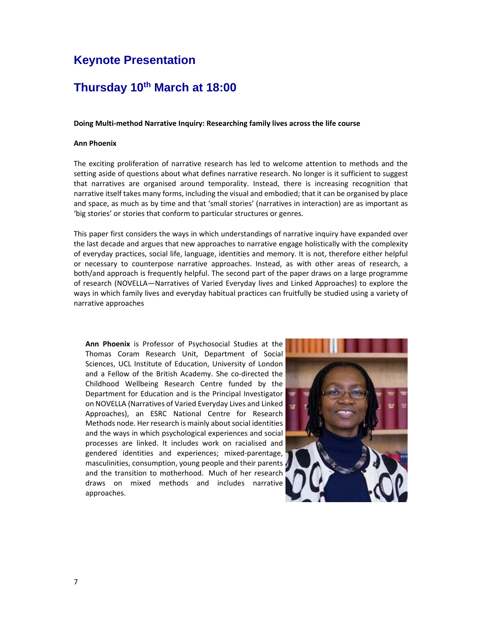### **Keynote Presentation**

### **Thursday 10th March at 18:00**

#### **Doing Multi‐method Narrative Inquiry: Researching family lives across the life course**

#### **Ann Phoenix**

The exciting proliferation of narrative research has led to welcome attention to methods and the setting aside of questions about what defines narrative research. No longer is it sufficient to suggest that narratives are organised around temporality. Instead, there is increasing recognition that narrative itself takes many forms, including the visual and embodied; that it can be organised by place and space, as much as by time and that 'small stories' (narratives in interaction) are as important as 'big stories' or stories that conform to particular structures or genres.

This paper first considers the ways in which understandings of narrative inquiry have expanded over the last decade and argues that new approaches to narrative engage holistically with the complexity of everyday practices, social life, language, identities and memory. It is not, therefore either helpful or necessary to counterpose narrative approaches. Instead, as with other areas of research, a both/and approach is frequently helpful. The second part of the paper draws on a large programme of research (NOVELLA—Narratives of Varied Everyday lives and Linked Approaches) to explore the ways in which family lives and everyday habitual practices can fruitfully be studied using a variety of narrative approaches

**Ann Phoenix** is Professor of Psychosocial Studies at the Thomas Coram Research Unit, Department of Social Sciences, UCL Institute of Education, University of London and a Fellow of the British Academy. She co-directed the Childhood Wellbeing Research Centre funded by the Department for Education and is the Principal Investigator on NOVELLA (Narratives of Varied Everyday Lives and Linked Approaches), an ESRC National Centre for Research Methods node. Her research is mainly about social identities and the ways in which psychological experiences and social processes are linked. It includes work on racialised and gendered identities and experiences; mixed‐parentage, masculinities, consumption, young people and their parents and the transition to motherhood. Much of her research draws on mixed methods and includes narrative approaches.

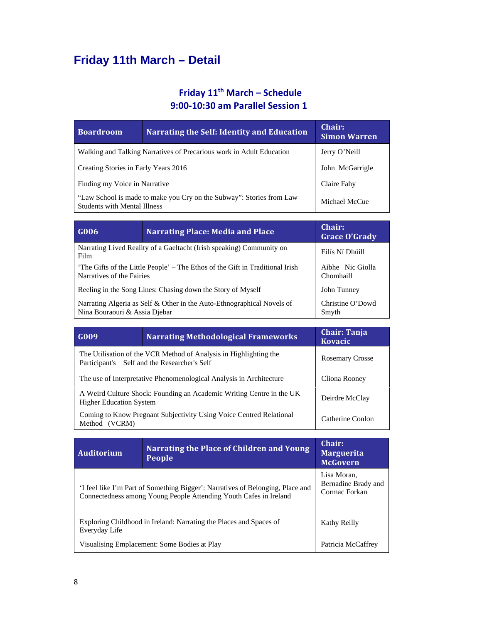# **Friday 11th March – Detail**

### **Friday 11th March – Schedule 9:00‐10:30 am Parallel Session 1**

| <b>Boardroom</b>                                                                                            | <b>Narrating the Self: Identity and Education</b>                    | Chair:<br><b>Simon Warren</b> |
|-------------------------------------------------------------------------------------------------------------|----------------------------------------------------------------------|-------------------------------|
|                                                                                                             | Walking and Talking Narratives of Precarious work in Adult Education | Jerry O'Neill                 |
| Creating Stories in Early Years 2016                                                                        |                                                                      | John McGarrigle               |
| Finding my Voice in Narrative                                                                               |                                                                      | Claire Fahy                   |
| "Law School is made to make you Cry on the Subway": Stories from Law<br><b>Students with Mental Illness</b> |                                                                      | Michael McCue                 |

| G006                                                                                                      | <b>Narrating Place: Media and Place</b>                                | Chair:<br><b>Grace O'Grady</b> |
|-----------------------------------------------------------------------------------------------------------|------------------------------------------------------------------------|--------------------------------|
| Film                                                                                                      | Narrating Lived Reality of a Gaeltacht (Irish speaking) Community on   | Eilís Ní Dhúill                |
| The Gifts of the Little People' – The Ethos of the Gift in Traditional Irish<br>Narratives of the Fairies |                                                                        | Aibhe Nic Giolla<br>Chomhaill  |
| Reeling in the Song Lines: Chasing down the Story of Myself                                               |                                                                        | John Tunney                    |
| Nina Bouraouri & Assia Djebar                                                                             | Narrating Algeria as Self & Other in the Auto-Ethnographical Novels of | Christine O'Dowd<br>Smyth      |

| G009                                                                                                   | <b>Narrating Methodological Frameworks</b>                                                          | <b>Chair: Tanja</b><br><b>Kovacic</b> |
|--------------------------------------------------------------------------------------------------------|-----------------------------------------------------------------------------------------------------|---------------------------------------|
| Participant's                                                                                          | The Utilisation of the VCR Method of Analysis in Highlighting the<br>Self and the Researcher's Self | <b>Rosemary Crosse</b>                |
| The use of Interpretative Phenomenological Analysis in Architecture                                    |                                                                                                     | Cliona Rooney                         |
| A Weird Culture Shock: Founding an Academic Writing Centre in the UK<br><b>Higher Education System</b> |                                                                                                     | Deirdre McClay                        |
| Coming to Know Pregnant Subjectivity Using Voice Centred Relational<br>(VCRM)<br>Method                |                                                                                                     | Catherine Conlon                      |

| <b>Auditorium</b>                                                                   | Narrating the Place of Children and Young<br><b>People</b>                                                                                          | Chair:<br><b>Marguerita</b><br><b>McGovern</b>      |
|-------------------------------------------------------------------------------------|-----------------------------------------------------------------------------------------------------------------------------------------------------|-----------------------------------------------------|
|                                                                                     | 'I feel like I'm Part of Something Bigger': Narratives of Belonging, Place and<br>Connectedness among Young People Attending Youth Cafes in Ireland | Lisa Moran.<br>Bernadine Brady and<br>Cormac Forkan |
| Exploring Childhood in Ireland: Narrating the Places and Spaces of<br>Everyday Life |                                                                                                                                                     | Kathy Reilly                                        |
|                                                                                     | Visualising Emplacement: Some Bodies at Play                                                                                                        | Patricia McCaffrey                                  |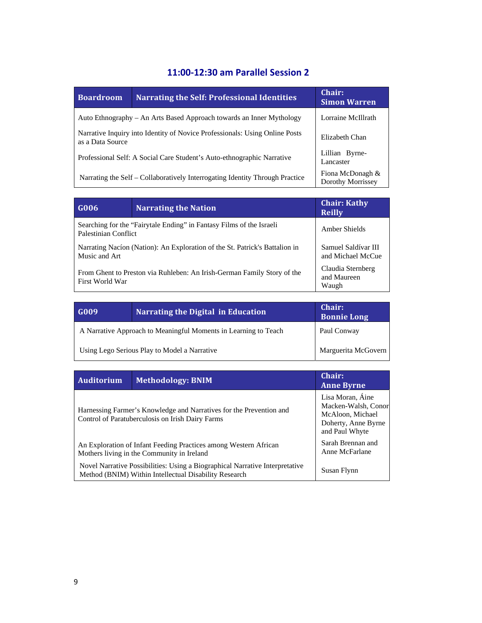### **11:00‐12:30 am Parallel Session 2**

| <b>Boardroom</b> | <b>Narrating the Self: Professional Identities</b>                           | Chair:<br><b>Simon Warren</b>                |
|------------------|------------------------------------------------------------------------------|----------------------------------------------|
|                  | Auto Ethnography - An Arts Based Approach towards an Inner Mythology         | Lorraine McIllrath                           |
| as a Data Source | Narrative Inquiry into Identity of Novice Professionals: Using Online Posts  | Elizabeth Chan                               |
|                  | Professional Self: A Social Care Student's Auto-ethnographic Narrative       | Lillian Byrne-<br>Lancaster                  |
|                  | Narrating the Self – Collaboratively Interrogating Identity Through Practice | Fiona McDonagh &<br><b>Dorothy Morrissey</b> |

| G006                                                                                         | <b>Narrating the Nation</b>                                          | <b>Chair: Kathy</b><br><b>Reilly</b>      |
|----------------------------------------------------------------------------------------------|----------------------------------------------------------------------|-------------------------------------------|
| Palestinian Conflict                                                                         | Searching for the "Fairytale Ending" in Fantasy Films of the Israeli | Amber Shields                             |
| Narrating Nacíon (Nation): An Exploration of the St. Patrick's Battalion in<br>Music and Art |                                                                      | Samuel Saldívar III<br>and Michael McCue  |
| From Ghent to Preston via Ruhleben: An Irish-German Family Story of the<br>First World War   |                                                                      | Claudia Sternberg<br>and Maureen<br>Waugh |

| G009                                                            | Narrating the Digital in Education | Chair:<br><b>Bonnie Long</b> |
|-----------------------------------------------------------------|------------------------------------|------------------------------|
| A Narrative Approach to Meaningful Moments in Learning to Teach |                                    | Paul Conway                  |
| Using Lego Serious Play to Model a Narrative                    |                                    | Marguerita McGovern          |

| Auditorium                                                                                                              | <b>Methodology: BNIM</b>                                                                                                              | Chair:<br><b>Anne Byrne</b>                                                                          |
|-------------------------------------------------------------------------------------------------------------------------|---------------------------------------------------------------------------------------------------------------------------------------|------------------------------------------------------------------------------------------------------|
| Harnessing Farmer's Knowledge and Narratives for the Prevention and<br>Control of Paratuberculosis on Irish Dairy Farms |                                                                                                                                       | Lisa Moran, Áine<br>Macken-Walsh, Conor<br>McAloon, Michael<br>Doherty, Anne Byrne<br>and Paul Whyte |
| An Exploration of Infant Feeding Practices among Western African<br>Mothers living in the Community in Ireland          |                                                                                                                                       | Sarah Brennan and<br>Anne McFarlane                                                                  |
|                                                                                                                         | Novel Narrative Possibilities: Using a Biographical Narrative Interpretative<br>Method (BNIM) Within Intellectual Disability Research | Susan Flynn                                                                                          |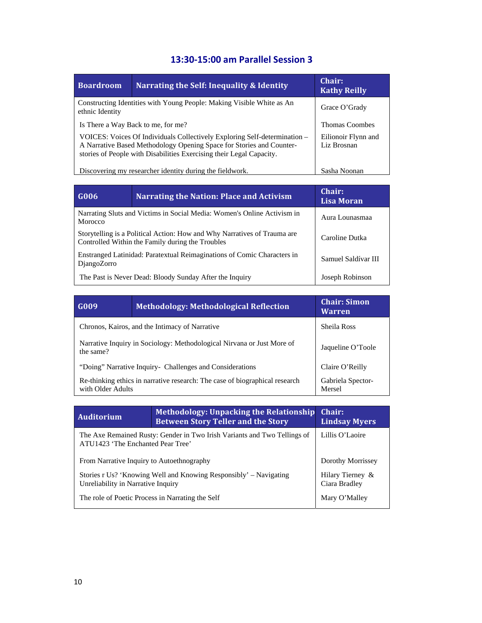### **13:30‐15:00 am Parallel Session 3**

| <b>Boardroom</b>                                                                                                                                                                                                          | Narrating the Self: Inequality & Identity                             | Chair:<br><b>Kathy Reilly</b>      |
|---------------------------------------------------------------------------------------------------------------------------------------------------------------------------------------------------------------------------|-----------------------------------------------------------------------|------------------------------------|
| ethnic Identity                                                                                                                                                                                                           | Constructing Identities with Young People: Making Visible White as An | Grace O'Grady                      |
|                                                                                                                                                                                                                           | Is There a Way Back to me, for me?                                    | <b>Thomas Coombes</b>              |
| VOICES: Voices Of Individuals Collectively Exploring Self-determination -<br>A Narrative Based Methodology Opening Space for Stories and Counter-<br>stories of People with Disabilities Exercising their Legal Capacity. |                                                                       | Eilionoir Flynn and<br>Liz Brosnan |
|                                                                                                                                                                                                                           | Discovering my researcher identity during the fieldwork.              | Sasha Noonan                       |

| G006                                                                                                                                           | <b>Narrating the Nation: Place and Activism</b>                         | Chair:<br>Lisa Moran |
|------------------------------------------------------------------------------------------------------------------------------------------------|-------------------------------------------------------------------------|----------------------|
| Morocco                                                                                                                                        | Narrating Sluts and Victims in Social Media: Women's Online Activism in | Aura Lounasmaa       |
| Storytelling is a Political Action: How and Why Narratives of Trauma are<br>Caroline Dutka<br>Controlled Within the Family during the Troubles |                                                                         |                      |
| Enstranged Latinidad: Paratextual Reimaginations of Comic Characters in<br>DjangoZorro                                                         |                                                                         | Samuel Saldívar III  |
|                                                                                                                                                | The Past is Never Dead: Bloody Sunday After the Inquiry                 | Joseph Robinson      |

| G009                                                                                                                            | <b>Methodology: Methodological Reflection</b> | <b>Chair: Simon</b><br><b>Warren</b> |
|---------------------------------------------------------------------------------------------------------------------------------|-----------------------------------------------|--------------------------------------|
| Chronos, Kairos, and the Intimacy of Narrative<br>Sheila Ross                                                                   |                                               |                                      |
| Narrative Inquiry in Sociology: Methodological Nirvana or Just More of<br>the same?                                             |                                               | Jaqueline O'Toole                    |
| "Doing" Narrative Inquiry- Challenges and Considerations                                                                        |                                               | Claire O'Reilly                      |
| Re-thinking ethics in narrative research: The case of biographical research<br>Gabriela Spector-<br>with Older Adults<br>Mersel |                                               |                                      |

| <b>Auditorium</b>                                                                                             | Methodology: Unpacking the Relationship<br><b>Between Story Teller and the Story</b> |  |
|---------------------------------------------------------------------------------------------------------------|--------------------------------------------------------------------------------------|--|
| The Axe Remained Rusty: Gender in Two Irish Variants and Two Tellings of<br>ATU1423 'The Enchanted Pear Tree' | Lillis O'Laoire                                                                      |  |
| Dorothy Morrissey<br>From Narrative Inquiry to Autoethnography                                                |                                                                                      |  |
| Stories r Us? 'Knowing Well and Knowing Responsibly' – Navigating<br>Unreliability in Narrative Inquiry       | Hilary Tierney &<br>Ciara Bradley                                                    |  |
| The role of Poetic Process in Narrating the Self<br>)'Mallev<br>Mary                                          |                                                                                      |  |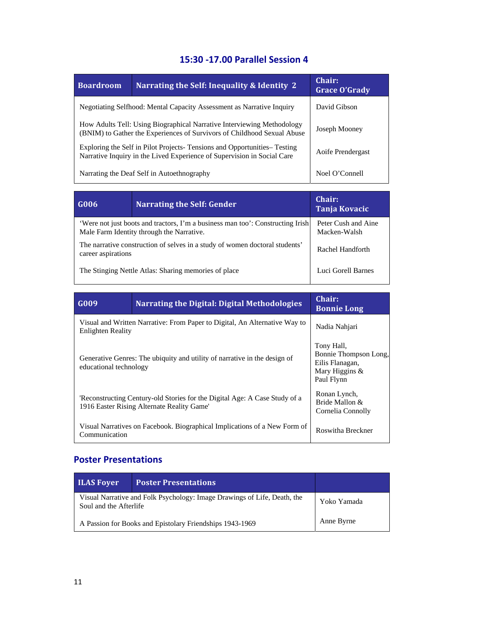### **15:30 ‐17.00 Parallel Session 4**

| <b>Boardroom</b>                                                                                                                                   | <b>Narrating the Self: Inequality &amp; Identity 2</b> | Chair:<br><b>Grace O'Grady</b> |
|----------------------------------------------------------------------------------------------------------------------------------------------------|--------------------------------------------------------|--------------------------------|
| Negotiating Selfhood: Mental Capacity Assessment as Narrative Inquiry                                                                              |                                                        | David Gibson                   |
| How Adults Tell: Using Biographical Narrative Interviewing Methodology<br>(BNIM) to Gather the Experiences of Survivors of Childhood Sexual Abuse  |                                                        | Joseph Mooney                  |
| Exploring the Self in Pilot Projects-Tensions and Opportunities-Testing<br>Narrative Inquiry in the Lived Experience of Supervision in Social Care |                                                        | Aoife Prendergast              |
| Narrating the Deaf Self in Autoethnography<br>Noel O'Connell                                                                                       |                                                        |                                |

| G006                                                                                                                        | <b>Narrating the Self: Gender</b> | Chair:<br>Tanja Kovacic             |
|-----------------------------------------------------------------------------------------------------------------------------|-----------------------------------|-------------------------------------|
| 'Were not just boots and tractors, I'm a business man too': Constructing Irish<br>Male Farm Identity through the Narrative. |                                   | Peter Cush and Aine<br>Macken-Walsh |
| The narrative construction of selves in a study of women doctoral students'<br>career aspirations                           |                                   | Rachel Handforth                    |
| The Stinging Nettle Atlas: Sharing memories of place                                                                        |                                   | Luci Gorell Barnes                  |

<u> 1989 - Johann Stoff, deutscher Stoffen und der Stoffen und der Stoffen und der Stoffen und der Stoffen und de</u>

| G <sub>009</sub>                                                                                                        | <b>Narrating the Digital: Digital Methodologies</b> | Chair:<br><b>Bonnie Long</b>                                                           |
|-------------------------------------------------------------------------------------------------------------------------|-----------------------------------------------------|----------------------------------------------------------------------------------------|
| Visual and Written Narrative: From Paper to Digital, An Alternative Way to<br>Enlighten Reality                         |                                                     | Nadia Nahjari                                                                          |
| Generative Genres: The ubiquity and utility of narrative in the design of<br>educational technology                     |                                                     | Tony Hall,<br>Bonnie Thompson Long,<br>Eilis Flanagan,<br>Mary Higgins &<br>Paul Flynn |
| Reconstructing Century-old Stories for the Digital Age: A Case Study of a<br>1916 Easter Rising Alternate Reality Game' |                                                     | Ronan Lynch,<br>Bride Mallon &<br>Cornelia Connolly                                    |
| Visual Narratives on Facebook. Biographical Implications of a New Form of<br>Communication                              |                                                     | Roswitha Breckner                                                                      |

### **Poster Presentations**

| <b>ILAS Foyer</b>                                                                                  | <b>Poster Presentations</b>                              |             |
|----------------------------------------------------------------------------------------------------|----------------------------------------------------------|-------------|
| Visual Narrative and Folk Psychology: Image Drawings of Life, Death, the<br>Soul and the Afterlife |                                                          | Yoko Yamada |
|                                                                                                    | A Passion for Books and Epistolary Friendships 1943-1969 | Anne Byrne  |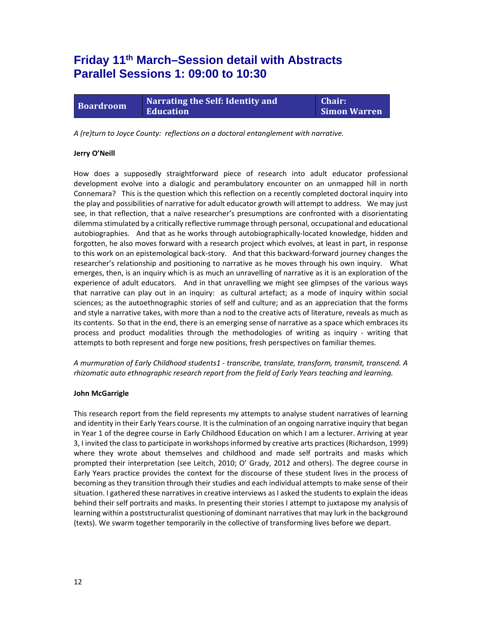### **Friday 11th March–Session detail with Abstracts Parallel Sessions 1: 09:00 to 10:30**

**Boardroom Narrating the Self: Identity and Education**

**Chair: Simon Warren**

*A (re)turn to Joyce County: reflections on a doctoral entanglement with narrative.*

#### **Jerry O'Neill**

How does a supposedly straightforward piece of research into adult educator professional development evolve into a dialogic and perambulatory encounter on an unmapped hill in north Connemara? This is the question which this reflection on a recently completed doctoral inquiry into the play and possibilities of narrative for adult educator growth will attempt to address. We may just see, in that reflection, that a naïve researcher's presumptions are confronted with a disorientating dilemma stimulated by a critically reflective rummage through personal, occupational and educational autobiographies. And that as he works through autobiographically‐located knowledge, hidden and forgotten, he also moves forward with a research project which evolves, at least in part, in response to this work on an epistemological back‐story. And that this backward‐forward journey changes the researcher's relationship and positioning to narrative as he moves through his own inquiry. What emerges, then, is an inquiry which is as much an unravelling of narrative as it is an exploration of the experience of adult educators. And in that unravelling we might see glimpses of the various ways that narrative can play out in an inquiry: as cultural artefact; as a mode of inquiry within social sciences; as the autoethnographic stories of self and culture; and as an appreciation that the forms and style a narrative takes, with more than a nod to the creative acts of literature, reveals as much as its contents. So that in the end, there is an emerging sense of narrative as a space which embraces its process and product modalities through the methodologies of writing as inquiry - writing that attempts to both represent and forge new positions, fresh perspectives on familiar themes.

*A murmuration of Early Childhood students1 ‐ transcribe, translate, transform, transmit, transcend. A rhizomatic auto ethnographic research report from the field of Early Years teaching and learning.*

#### **John McGarrigle**

This research report from the field represents my attempts to analyse student narratives of learning and identity in their Early Years course. It isthe culmination of an ongoing narrative inquiry that began in Year 1 of the degree course in Early Childhood Education on which I am a lecturer. Arriving at year 3, I invited the classto participate in workshopsinformed by creative arts practices(Richardson, 1999) where they wrote about themselves and childhood and made self portraits and masks which prompted their interpretation (see Leitch, 2010; O' Grady, 2012 and others). The degree course in Early Years practice provides the context for the discourse of these student lives in the process of becoming as they transition through their studies and each individual attempts to make sense of their situation. I gathered these narratives in creative interviews as I asked the students to explain the ideas behind their self portraits and masks. In presenting their stories I attempt to juxtapose my analysis of learning within a poststructuralist questioning of dominant narratives that may lurk in the background (texts). We swarm together temporarily in the collective of transforming lives before we depart.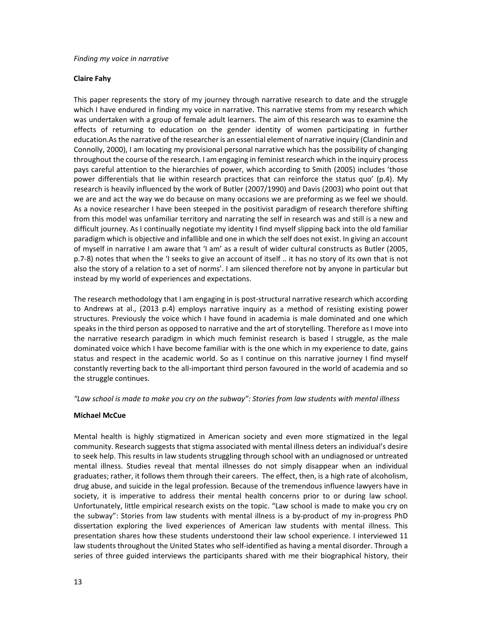#### *Finding my voice in narrative*

#### **Claire Fahy**

This paper represents the story of my journey through narrative research to date and the struggle which I have endured in finding my voice in narrative. This narrative stems from my research which was undertaken with a group of female adult learners. The aim of this research was to examine the effects of returning to education on the gender identity of women participating in further education.Asthe narrative of the researcher is an essential element of narrative inquiry (Clandinin and Connolly, 2000), I am locating my provisional personal narrative which has the possibility of changing throughout the course of the research. I am engaging in feminist research which in the inquiry process pays careful attention to the hierarchies of power, which according to Smith (2005) includes 'those power differentials that lie within research practices that can reinforce the status quo' (p.4). My research is heavily influenced by the work of Butler (2007/1990) and Davis (2003) who point out that we are and act the way we do because on many occasions we are preforming as we feel we should. As a novice researcher I have been steeped in the positivist paradigm of research therefore shifting from this model was unfamiliar territory and narrating the self in research was and still is a new and difficult journey. As I continually negotiate my identity I find myself slipping back into the old familiar paradigm which is objective and infallible and one in which the self does not exist. In giving an account of myself in narrative I am aware that 'I am' as a result of wider cultural constructs as Butler (2005, p.7‐8) notes that when the 'I seeks to give an account of itself .. it has no story of its own that is not also the story of a relation to a set of norms'. I am silenced therefore not by anyone in particular but instead by my world of experiences and expectations.

The research methodology that I am engaging in is post-structural narrative research which according to Andrews at al., (2013 p.4) employs narrative inquiry as a method of resisting existing power structures. Previously the voice which I have found in academia is male dominated and one which speaks in the third person as opposed to narrative and the art of storytelling. Therefore as I move into the narrative research paradigm in which much feminist research is based I struggle, as the male dominated voice which I have become familiar with is the one which in my experience to date, gains status and respect in the academic world. So as I continue on this narrative journey I find myself constantly reverting back to the all-important third person favoured in the world of academia and so the struggle continues.

*"Law school is made to make you cry on the subway": Stories from law students with mental illness*

#### **Michael McCue**

Mental health is highly stigmatized in American society and even more stigmatized in the legal community. Research suggests that stigma associated with mental illness deters an individual's desire to seek help. This results in law students struggling through school with an undiagnosed or untreated mental illness. Studies reveal that mental illnesses do not simply disappear when an individual graduates; rather, it follows them through their careers. The effect, then, is a high rate of alcoholism, drug abuse, and suicide in the legal profession. Because of the tremendous influence lawyers have in society, it is imperative to address their mental health concerns prior to or during law school. Unfortunately, little empirical research exists on the topic. "Law school is made to make you cry on the subway": Stories from law students with mental illness is a by‐product of my in‐progress PhD dissertation exploring the lived experiences of American law students with mental illness. This presentation shares how these students understoond their law school experience. I interviewed 11 law students throughout the United States who self-identified as having a mental disorder. Through a series of three guided interviews the participants shared with me their biographical history, their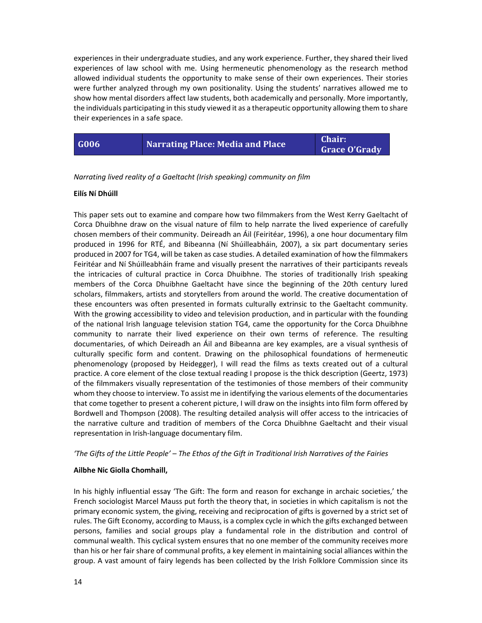experiences in their undergraduate studies, and any work experience. Further, they shared their lived experiences of law school with me. Using hermeneutic phenomenology as the research method allowed individual students the opportunity to make sense of their own experiences. Their stories were further analyzed through my own positionality. Using the students' narratives allowed me to show how mental disorders affect law students, both academically and personally. More importantly, the individuals participating in this study viewed it as a therapeutic opportunity allowing them to share their experiences in a safe space.

| G006 | <b>Narrating Place: Media and Place</b> | <b>Chair:</b> |
|------|-----------------------------------------|---------------|
|      |                                         | Grace O'Grady |

*Narrating lived reality of a Gaeltacht (Irish speaking) community on film*

#### **Eilís Ní Dhúill**

This paper sets out to examine and compare how two filmmakers from the West Kerry Gaeltacht of Corca Dhuibhne draw on the visual nature of film to help narrate the lived experience of carefully chosen members of their community. Deireadh an Áil (Feiritéar, 1996), a one hour documentary film produced in 1996 for RTÉ, and Bibeanna (Ní Shúilleabháin, 2007), a six part documentary series produced in 2007 for TG4, will be taken as case studies. A detailed examination of how the filmmakers Feiritéar and Ní Shúilleabháin frame and visually present the narratives of their participants reveals the intricacies of cultural practice in Corca Dhuibhne. The stories of traditionally Irish speaking members of the Corca Dhuibhne Gaeltacht have since the beginning of the 20th century lured scholars, filmmakers, artists and storytellers from around the world. The creative documentation of these encounters was often presented in formats culturally extrinsic to the Gaeltacht community. With the growing accessibility to video and television production, and in particular with the founding of the national Irish language television station TG4, came the opportunity for the Corca Dhuibhne community to narrate their lived experience on their own terms of reference. The resulting documentaries, of which Deireadh an Áil and Bibeanna are key examples, are a visual synthesis of culturally specific form and content. Drawing on the philosophical foundations of hermeneutic phenomenology (proposed by Heidegger), I will read the films as texts created out of a cultural practice. A core element of the close textual reading I propose is the thick description (Geertz, 1973) of the filmmakers visually representation of the testimonies of those members of their community whom they choose to interview. To assist me in identifying the various elements of the documentaries that come together to present a coherent picture, I will draw on the insights into film form offered by Bordwell and Thompson (2008). The resulting detailed analysis will offer access to the intricacies of the narrative culture and tradition of members of the Corca Dhuibhne Gaeltacht and their visual representation in Irish‐language documentary film.

'The Gifts of the Little People' - The Ethos of the Gift in Traditional Irish Narratives of the Fairies

#### **Ailbhe Nic Giolla Chomhaill,**

In his highly influential essay 'The Gift: The form and reason for exchange in archaic societies,' the French sociologist Marcel Mauss put forth the theory that, in societies in which capitalism is not the primary economic system, the giving, receiving and reciprocation of gifts is governed by a strict set of rules. The Gift Economy, according to Mauss, is a complex cycle in which the gifts exchanged between persons, families and social groups play a fundamental role in the distribution and control of communal wealth. This cyclical system ensures that no one member of the community receives more than his or her fair share of communal profits, a key element in maintaining social alliances within the group. A vast amount of fairy legends has been collected by the Irish Folklore Commission since its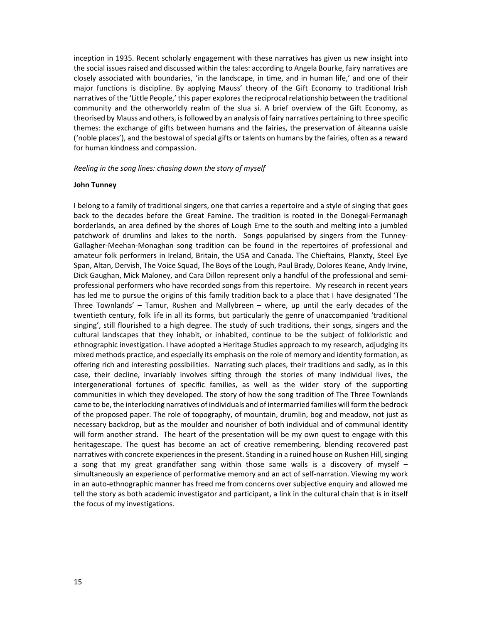inception in 1935. Recent scholarly engagement with these narratives has given us new insight into the social issues raised and discussed within the tales: according to Angela Bourke, fairy narratives are closely associated with boundaries, 'in the landscape, in time, and in human life,' and one of their major functions is discipline. By applying Mauss' theory of the Gift Economy to traditional Irish narratives of the 'Little People,' this paper explores the reciprocal relationship between the traditional community and the otherworldly realm of the slua sí. A brief overview of the Gift Economy, as theorised by Mauss and others, isfollowed by an analysis of fairy narratives pertaining to three specific themes: the exchange of gifts between humans and the fairies, the preservation of áiteanna uaisle ('noble places'), and the bestowal of special gifts or talents on humans by the fairies, often as a reward for human kindness and compassion.

*Reeling in the song lines: chasing down the story of myself*

#### **John Tunney**

I belong to a family of traditional singers, one that carries a repertoire and a style of singing that goes back to the decades before the Great Famine. The tradition is rooted in the Donegal‐Fermanagh borderlands, an area defined by the shores of Lough Erne to the south and melting into a jumbled patchwork of drumlins and lakes to the north. Songs popularised by singers from the Tunney-Gallagher‐Meehan‐Monaghan song tradition can be found in the repertoires of professional and amateur folk performers in Ireland, Britain, the USA and Canada. The Chieftains, Planxty, Steel Eye Span, Altan, Dervish, The Voice Squad, The Boys of the Lough, Paul Brady, Dolores Keane, Andy Irvine, Dick Gaughan, Mick Maloney, and Cara Dillon represent only a handful of the professional and semi‐ professional performers who have recorded songs from this repertoire. My research in recent years has led me to pursue the origins of this family tradition back to a place that I have designated 'The Three Townlands' – Tamur, Rushen and Mallybreen – where, up until the early decades of the twentieth century, folk life in all its forms, but particularly the genre of unaccompanied 'traditional singing', still flourished to a high degree. The study of such traditions, their songs, singers and the cultural landscapes that they inhabit, or inhabited, continue to be the subject of folkloristic and ethnographic investigation. I have adopted a Heritage Studies approach to my research, adjudging its mixed methods practice, and especially its emphasis on the role of memory and identity formation, as offering rich and interesting possibilities. Narrating such places, their traditions and sadly, as in this case, their decline, invariably involves sifting through the stories of many individual lives, the intergenerational fortunes of specific families, as well as the wider story of the supporting communities in which they developed. The story of how the song tradition of The Three Townlands came to be, the interlocking narratives of individuals and of intermarried families will form the bedrock of the proposed paper. The role of topography, of mountain, drumlin, bog and meadow, not just as necessary backdrop, but as the moulder and nourisher of both individual and of communal identity will form another strand. The heart of the presentation will be my own quest to engage with this heritagescape. The quest has become an act of creative remembering, blending recovered past narratives with concrete experiences in the present. Standing in a ruined house on Rushen Hill, singing a song that my great grandfather sang within those same walls is a discovery of myself – simultaneously an experience of performative memory and an act of self-narration. Viewing my work in an auto-ethnographic manner has freed me from concerns over subjective enquiry and allowed me tell the story as both academic investigator and participant, a link in the cultural chain that is in itself the focus of my investigations.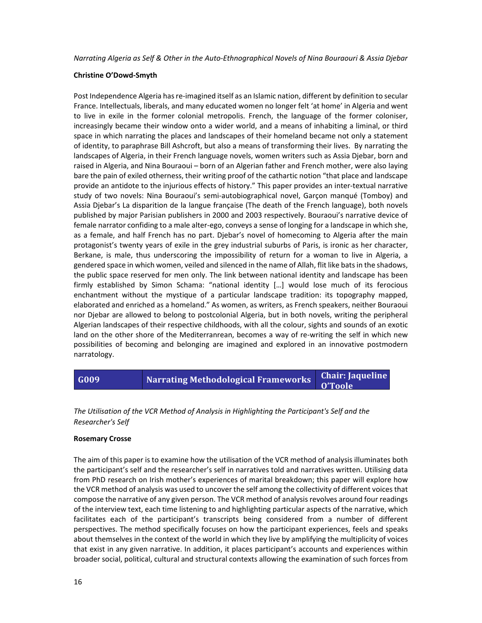Narrating Algeria as Self & Other in the Auto-Ethnographical Novels of Nina Bourgouri & Assia Diebar

#### **Christine O'Dowd‐Smyth**

Post Independence Algeria has re-imagined itself as an Islamic nation, different by definition to secular France. Intellectuals, liberals, and many educated women no longer felt 'at home' in Algeria and went to live in exile in the former colonial metropolis. French, the language of the former coloniser, increasingly became their window onto a wider world, and a means of inhabiting a liminal, or third space in which narrating the places and landscapes of their homeland became not only a statement of identity, to paraphrase Bill Ashcroft, but also a means of transforming their lives. By narrating the landscapes of Algeria, in their French language novels, women writers such as Assia Djebar, born and raised in Algeria, and Nina Bouraoui – born of an Algerian father and French mother, were also laying bare the pain of exiled otherness, their writing proof of the cathartic notion "that place and landscape provide an antidote to the injurious effects of history." This paper provides an inter-textual narrative study of two novels: Nina Bouraoui's semi‐autobiographical novel, Garçon manqué (Tomboy) and Assia Djebar's La disparition de la langue française (The death of the French language), both novels published by major Parisian publishers in 2000 and 2003 respectively. Bouraoui's narrative device of female narrator confiding to a male alter‐ego, conveys a sense of longing for a landscape in which she, as a female, and half French has no part. Djebar's novel of homecoming to Algeria after the main protagonist's twenty years of exile in the grey industrial suburbs of Paris, is ironic as her character, Berkane, is male, thus underscoring the impossibility of return for a woman to live in Algeria, a gendered space in which women, veiled and silenced in the name of Allah, flit like bats in the shadows, the public space reserved for men only. The link between national identity and landscape has been firmly established by Simon Schama: "national identity […] would lose much of its ferocious enchantment without the mystique of a particular landscape tradition: its topography mapped, elaborated and enriched as a homeland." As women, as writers, as French speakers, neither Bouraoui nor Djebar are allowed to belong to postcolonial Algeria, but in both novels, writing the peripheral Algerian landscapes of their respective childhoods, with all the colour, sights and sounds of an exotic land on the other shore of the Mediterranrean, becomes a way of re-writing the self in which new possibilities of becoming and belonging are imagined and explored in an innovative postmodern narratology.

#### **G009 Narrating Methodological Frameworks Chair: Jaqueline O'Toole**

*The Utilisation of the VCR Method of Analysis in Highlighting the Participant's Self and the Researcher's Self*

#### **Rosemary Crosse**

The aim of this paper is to examine how the utilisation of the VCR method of analysis illuminates both the participant's self and the researcher's self in narratives told and narratives written. Utilising data from PhD research on Irish mother's experiences of marital breakdown; this paper will explore how the VCR method of analysis was used to uncover the self among the collectivity of different voices that compose the narrative of any given person. The VCR method of analysis revolves around four readings of the interview text, each time listening to and highlighting particular aspects of the narrative, which facilitates each of the participant's transcripts being considered from a number of different perspectives. The method specifically focuses on how the participant experiences, feels and speaks about themselves in the context of the world in which they live by amplifying the multiplicity of voices that exist in any given narrative. In addition, it places participant's accounts and experiences within broader social, political, cultural and structural contexts allowing the examination of such forces from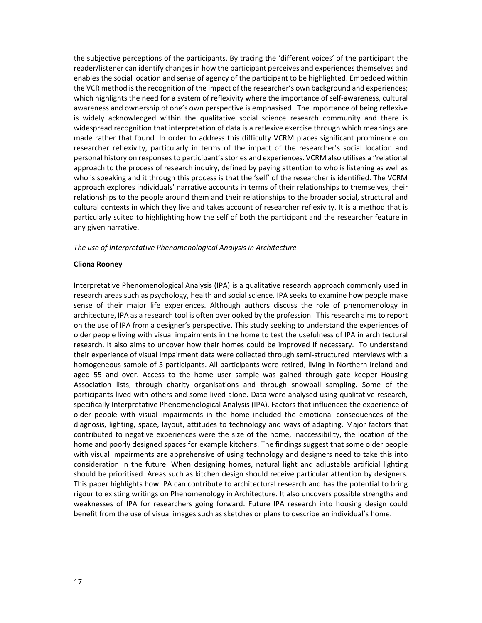the subjective perceptions of the participants. By tracing the 'different voices' of the participant the reader/listener can identify changes in how the participant perceives and experiences themselves and enables the social location and sense of agency of the participant to be highlighted. Embedded within the VCR method isthe recognition of the impact of the researcher's own background and experiences; which highlights the need for a system of reflexivity where the importance of self‐awareness, cultural awareness and ownership of one's own perspective is emphasised. The importance of being reflexive is widely acknowledged within the qualitative social science research community and there is widespread recognition that interpretation of data is a reflexive exercise through which meanings are made rather that found .In order to address this difficulty VCRM places significant prominence on researcher reflexivity, particularly in terms of the impact of the researcher's social location and personal history on responsesto participant's stories and experiences. VCRM also utilises a "relational approach to the process of research inquiry, defined by paying attention to who is listening as well as who is speaking and it through this process is that the 'self' of the researcher is identified. The VCRM approach explores individuals' narrative accounts in terms of their relationships to themselves, their relationships to the people around them and their relationships to the broader social, structural and cultural contexts in which they live and takes account of researcher reflexivity. It is a method that is particularly suited to highlighting how the self of both the participant and the researcher feature in any given narrative.

#### *The use of Interpretative Phenomenological Analysis in Architecture*

#### **Cliona Rooney**

Interpretative Phenomenological Analysis (IPA) is a qualitative research approach commonly used in research areas such as psychology, health and social science. IPA seeks to examine how people make sense of their major life experiences. Although authors discuss the role of phenomenology in architecture, IPA as a research tool is often overlooked by the profession. Thisresearch aims to report on the use of IPA from a designer's perspective. This study seeking to understand the experiences of older people living with visual impairments in the home to test the usefulness of IPA in architectural research. It also aims to uncover how their homes could be improved if necessary. To understand their experience of visual impairment data were collected through semi‐structured interviews with a homogeneous sample of 5 participants. All participants were retired, living in Northern Ireland and aged 55 and over. Access to the home user sample was gained through gate keeper Housing Association lists, through charity organisations and through snowball sampling. Some of the participants lived with others and some lived alone. Data were analysed using qualitative research, specifically Interpretative Phenomenological Analysis (IPA). Factors that influenced the experience of older people with visual impairments in the home included the emotional consequences of the diagnosis, lighting, space, layout, attitudes to technology and ways of adapting. Major factors that contributed to negative experiences were the size of the home, inaccessibility, the location of the home and poorly designed spaces for example kitchens. The findings suggest that some older people with visual impairments are apprehensive of using technology and designers need to take this into consideration in the future. When designing homes, natural light and adjustable artificial lighting should be prioritised. Areas such as kitchen design should receive particular attention by designers. This paper highlights how IPA can contribute to architectural research and has the potential to bring rigour to existing writings on Phenomenology in Architecture. It also uncovers possible strengths and weaknesses of IPA for researchers going forward. Future IPA research into housing design could benefit from the use of visual images such as sketches or plans to describe an individual's home.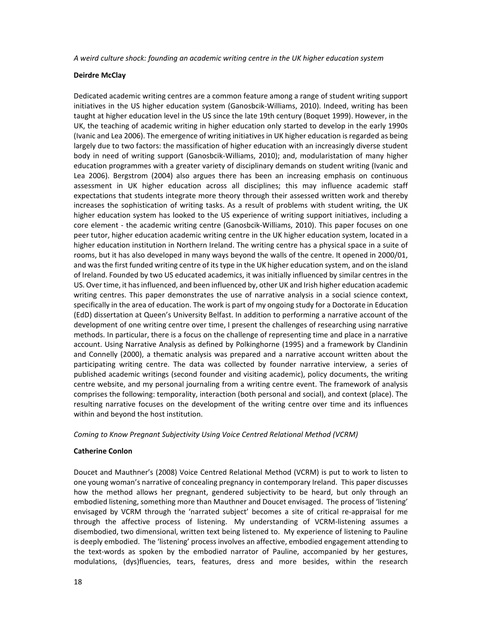*A weird culture shock: founding an academic writing centre in the UK higher education system*

#### **Deirdre McClay**

Dedicated academic writing centres are a common feature among a range of student writing support initiatives in the US higher education system (Ganosbcik‐Williams, 2010). Indeed, writing has been taught at higher education level in the US since the late 19th century (Boquet 1999). However, in the UK, the teaching of academic writing in higher education only started to develop in the early 1990s (Ivanic and Lea 2006). The emergence of writing initiatives in UK higher education isregarded as being largely due to two factors: the massification of higher education with an increasingly diverse student body in need of writing support (Ganosbcik‐Williams, 2010); and, modularistation of many higher education programmes with a greater variety of disciplinary demands on student writing (Ivanic and Lea 2006). Bergstrom (2004) also argues there has been an increasing emphasis on continuous assessment in UK higher education across all disciplines; this may influence academic staff expectations that students integrate more theory through their assessed written work and thereby increases the sophistication of writing tasks. As a result of problems with student writing, the UK higher education system has looked to the US experience of writing support initiatives, including a core element - the academic writing centre (Ganosbcik-Williams, 2010). This paper focuses on one peer tutor, higher education academic writing centre in the UK higher education system, located in a higher education institution in Northern Ireland. The writing centre has a physical space in a suite of rooms, but it has also developed in many ways beyond the walls of the centre. It opened in 2000/01, and wasthe first funded writing centre of itstype in the UK higher education system, and on the island of Ireland. Founded by two US educated academics, it was initially influenced by similar centres in the US. Overtime, it hasinfluenced, and been influenced by, other UK and Irish higher education academic writing centres. This paper demonstrates the use of narrative analysis in a social science context, specifically in the area of education. The work is part of my ongoing study for a Doctorate in Education (EdD) dissertation at Queen's University Belfast. In addition to performing a narrative account of the development of one writing centre over time, I present the challenges of researching using narrative methods. In particular, there is a focus on the challenge of representing time and place in a narrative account. Using Narrative Analysis as defined by Polkinghorne (1995) and a framework by Clandinin and Connelly (2000), a thematic analysis was prepared and a narrative account written about the participating writing centre. The data was collected by founder narrative interview, a series of published academic writings (second founder and visiting academic), policy documents, the writing centre website, and my personal journaling from a writing centre event. The framework of analysis comprises the following: temporality, interaction (both personal and social), and context (place). The resulting narrative focuses on the development of the writing centre over time and its influences within and beyond the host institution.

#### *Coming to Know Pregnant Subjectivity Using Voice Centred Relational Method (VCRM)*

#### **Catherine Conlon**

Doucet and Mauthner's (2008) Voice Centred Relational Method (VCRM) is put to work to listen to one young woman's narrative of concealing pregnancy in contemporary Ireland. This paper discusses how the method allows her pregnant, gendered subjectivity to be heard, but only through an embodied listening, something more than Mauthner and Doucet envisaged. The process of 'listening' envisaged by VCRM through the 'narrated subject' becomes a site of critical re-appraisal for me through the affective process of listening. My understanding of VCRM‐listening assumes a disembodied, two dimensional, written text being listened to. My experience of listening to Pauline is deeply embodied. The 'listening' process involves an affective, embodied engagement attending to the text‐words as spoken by the embodied narrator of Pauline, accompanied by her gestures, modulations, (dys)fluencies, tears, features, dress and more besides, within the research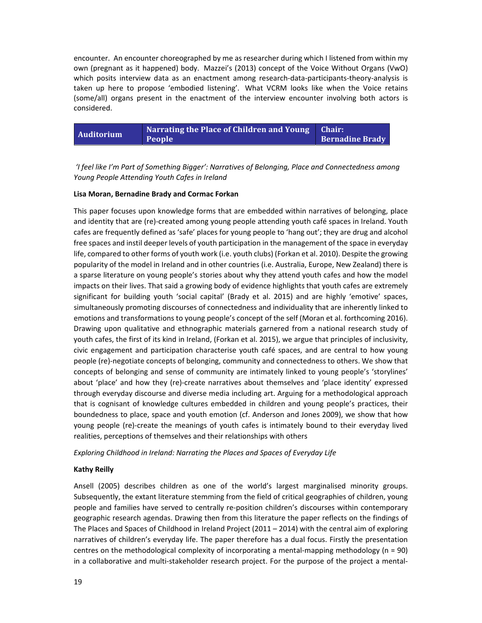encounter. An encounter choreographed by me as researcher during which I listened from within my own (pregnant as it happened) body. Mazzei's (2013) concept of the Voice Without Organs (VwO) which posits interview data as an enactment among research-data-participants-theory-analysis is taken up here to propose 'embodied listening'. What VCRM looks like when the Voice retains (some/all) organs present in the enactment of the interview encounter involving both actors is considered.

| Auditorium | Narrating the Place of Children and Young   Chair: |                        |
|------------|----------------------------------------------------|------------------------|
|            | <b>People</b>                                      | <b>Bernadine Brady</b> |

*'I feel like I'm Part of Something Bigger': Narratives of Belonging, Place and Connectedness among Young People Attending Youth Cafes in Ireland*

#### **Lisa Moran, Bernadine Brady and Cormac Forkan**

This paper focuses upon knowledge forms that are embedded within narratives of belonging, place and identity that are (re)‐created among young people attending youth café spaces in Ireland. Youth cafes are frequently defined as 'safe' places for young people to 'hang out'; they are drug and alcohol free spaces and instil deeper levels of youth participation in the management of the space in everyday life, compared to other forms of youth work (i.e. youth clubs) (Forkan et al. 2010). Despite the growing popularity of the model in Ireland and in other countries (i.e. Australia, Europe, New Zealand) there is a sparse literature on young people's stories about why they attend youth cafes and how the model impacts on their lives. That said a growing body of evidence highlights that youth cafes are extremely significant for building youth 'social capital' (Brady et al. 2015) and are highly 'emotive' spaces, simultaneously promoting discourses of connectedness and individuality that are inherently linked to emotions and transformations to young people's concept of the self (Moran et al. forthcoming 2016). Drawing upon qualitative and ethnographic materials garnered from a national research study of youth cafes, the first of its kind in Ireland, (Forkan et al. 2015), we argue that principles of inclusivity, civic engagement and participation characterise youth café spaces, and are central to how young people (re)‐negotiate concepts of belonging, community and connectedness to others. We show that concepts of belonging and sense of community are intimately linked to young people's 'storylines' about 'place' and how they (re)‐create narratives about themselves and 'place identity' expressed through everyday discourse and diverse media including art. Arguing for a methodological approach that is cognisant of knowledge cultures embedded in children and young people's practices, their boundedness to place, space and youth emotion (cf. Anderson and Jones 2009), we show that how young people (re)‐create the meanings of youth cafes is intimately bound to their everyday lived realities, perceptions of themselves and their relationships with others

*Exploring Childhood in Ireland: Narrating the Places and Spaces of Everyday Life*

#### **Kathy Reilly**

Ansell (2005) describes children as one of the world's largest marginalised minority groups. Subsequently, the extant literature stemming from the field of critical geographies of children, young people and families have served to centrally re‐position children's discourses within contemporary geographic research agendas. Drawing then from this literature the paper reflects on the findings of The Places and Spaces of Childhood in Ireland Project (2011 – 2014) with the central aim of exploring narratives of children's everyday life. The paper therefore has a dual focus. Firstly the presentation centres on the methodological complexity of incorporating a mental‐mapping methodology (n = 90) in a collaborative and multi‐stakeholder research project. For the purpose of the project a mental‐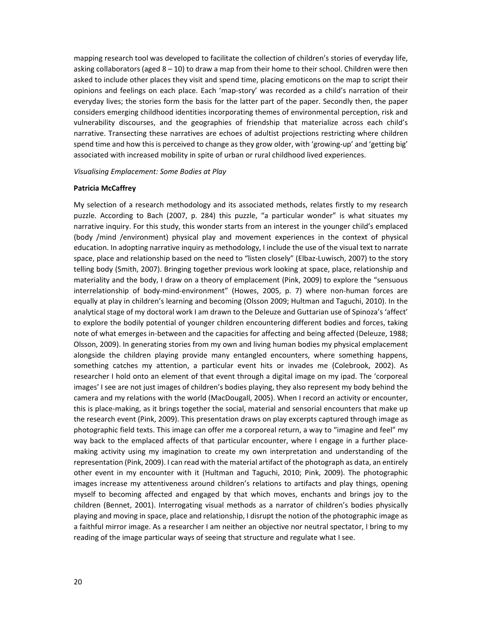mapping research tool was developed to facilitate the collection of children's stories of everyday life, asking collaborators (aged 8 – 10) to draw a map from their home to their school. Children were then asked to include other places they visit and spend time, placing emoticons on the map to script their opinions and feelings on each place. Each 'map‐story' was recorded as a child's narration of their everyday lives; the stories form the basis for the latter part of the paper. Secondly then, the paper considers emerging childhood identities incorporating themes of environmental perception, risk and vulnerability discourses, and the geographies of friendship that materialize across each child's narrative. Transecting these narratives are echoes of adultist projections restricting where children spend time and how this is perceived to change as they grow older, with 'growing-up' and 'getting big' associated with increased mobility in spite of urban or rural childhood lived experiences.

#### *Visualising Emplacement: Some Bodies at Play*

#### **Patricia McCaffrey**

My selection of a research methodology and its associated methods, relates firstly to my research puzzle. According to Bach (2007, p. 284) this puzzle, "a particular wonder" is what situates my narrative inquiry. For this study, this wonder starts from an interest in the younger child's emplaced (body /mind /environment) physical play and movement experiences in the context of physical education. In adopting narrative inquiry as methodology, I include the use of the visual text to narrate space, place and relationship based on the need to "listen closely" (Elbaz-Luwisch, 2007) to the story telling body (Smith, 2007). Bringing together previous work looking at space, place, relationship and materiality and the body, I draw on a theory of emplacement (Pink, 2009) to explore the "sensuous interrelationship of body-mind-environment" (Howes, 2005, p. 7) where non-human forces are equally at play in children's learning and becoming (Olsson 2009; Hultman and Taguchi, 2010). In the analytical stage of my doctoral work I am drawn to the Deleuze and Guttarian use of Spinoza's 'affect' to explore the bodily potential of younger children encountering different bodies and forces, taking note of what emerges in‐between and the capacities for affecting and being affected (Deleuze, 1988; Olsson, 2009). In generating stories from my own and living human bodies my physical emplacement alongside the children playing provide many entangled encounters, where something happens, something catches my attention, a particular event hits or invades me (Colebrook, 2002). As researcher I hold onto an element of that event through a digital image on my ipad. The 'corporeal images' I see are not just images of children's bodies playing, they also represent my body behind the camera and my relations with the world (MacDougall, 2005). When I record an activity or encounter, this is place‐making, as it brings together the social, material and sensorial encounters that make up the research event (Pink, 2009). This presentation draws on play excerpts captured through image as photographic field texts. This image can offer me a corporeal return, a way to "imagine and feel" my way back to the emplaced affects of that particular encounter, where I engage in a further placemaking activity using my imagination to create my own interpretation and understanding of the representation (Pink, 2009). I can read with the material artifact of the photograph as data, an entirely other event in my encounter with it (Hultman and Taguchi, 2010; Pink, 2009). The photographic images increase my attentiveness around children's relations to artifacts and play things, opening myself to becoming affected and engaged by that which moves, enchants and brings joy to the children (Bennet, 2001). Interrogating visual methods as a narrator of children's bodies physically playing and moving in space, place and relationship, I disrupt the notion of the photographic image as a faithful mirror image. As a researcher I am neither an objective nor neutral spectator, I bring to my reading of the image particular ways of seeing that structure and regulate what I see.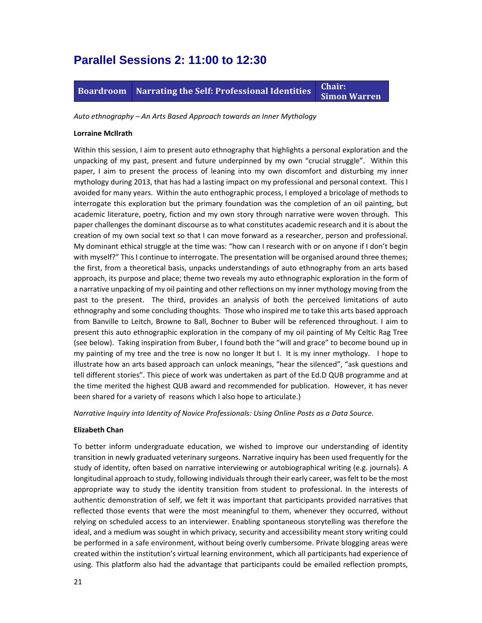### **Parallel Sessions 2: 11:00 to 12:30**

**Boardroom** Narrating the Self: Professional Identities Chair: **Simon Warren**

*Auto ethnography – An Arts Based Approach towards an Inner Mythology* 

#### **Lorraine McIlrath**

Within this session, I aim to present auto ethnography that highlights a personal exploration and the unpacking of my past, present and future underpinned by my own "crucial struggle". Within this paper, I aim to present the process of leaning into my own discomfort and disturbing my inner mythology during 2013, that has had a lasting impact on my professional and personal context. This I avoided for many years. Within the auto enthographic process, I employed a bricolage of methods to interrogate this exploration but the primary foundation was the completion of an oil painting, but academic literature, poetry, fiction and my own story through narrative were woven through. This paper challenges the dominant discourse as to what constitutes academic research and it is about the creation of my own social text so that I can move forward as a researcher, person and professional. My dominant ethical struggle at the time was: "how can I research with or on anyone if I don't begin with myself?" This I continue to interrogate. The presentation will be organised around three themes; the first, from a theoretical basis, unpacks understandings of auto ethnography from an arts based approach, its purpose and place; theme two reveals my auto ethnographic exploration in the form of a narrative unpacking of my oil painting and other reflections on my inner mythology moving from the past to the present. The third, provides an analysis of both the perceived limitations of auto ethnography and some concluding thoughts. Those who inspired me to take this arts based approach from Banville to Leitch, Browne to Ball, Bochner to Buber will be referenced throughout. I aim to present this auto ethnographic exploration in the company of my oil painting of My Celtic Rag Tree (see below). Taking inspiration from Buber, I found both the "will and grace" to become bound up in my painting of my tree and the tree is now no longer It but I. It is my inner mythology. I hope to illustrate how an arts based approach can unlock meanings, "hear the silenced", "ask questions and tell different stories". This piece of work was undertaken as part of the Ed.D QUB programme and at the time merited the highest QUB award and recommended for publication. However, it has never been shared for a variety of reasons which I also hope to articulate.)

*Narrative Inquiry into Identity of Novice Professionals: Using Online Posts as a Data Source.*

#### **Elizabeth Chan**

To better inform undergraduate education, we wished to improve our understanding of identity transition in newly graduated veterinary surgeons. Narrative inquiry has been used frequently for the study of identity, often based on narrative interviewing or autobiographical writing (e.g. journals). A longitudinal approach to study, following individuals through their early career, was felt to be the most appropriate way to study the identity transition from student to professional. In the interests of authentic demonstration of self, we felt it was important that participants provided narratives that reflected those events that were the most meaningful to them, whenever they occurred, without relying on scheduled access to an interviewer. Enabling spontaneous storytelling was therefore the ideal, and a medium was sought in which privacy, security and accessibility meant story writing could be performed in a safe environment, without being overly cumbersome. Private blogging areas were created within the institution's virtual learning environment, which all participants had experience of using. This platform also had the advantage that participants could be emailed reflection prompts,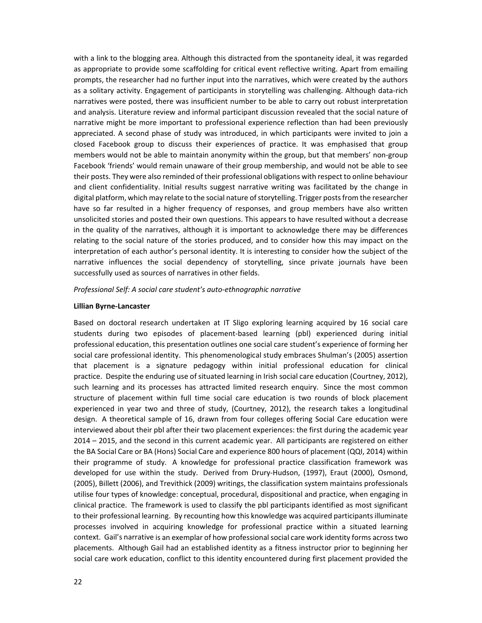with a link to the blogging area. Although this distracted from the spontaneity ideal, it was regarded as appropriate to provide some scaffolding for critical event reflective writing. Apart from emailing prompts, the researcher had no further input into the narratives, which were created by the authors as a solitary activity. Engagement of participants in storytelling was challenging. Although data‐rich narratives were posted, there was insufficient number to be able to carry out robust interpretation and analysis. Literature review and informal participant discussion revealed that the social nature of narrative might be more important to professional experience reflection than had been previously appreciated. A second phase of study was introduced, in which participants were invited to join a closed Facebook group to discuss their experiences of practice. It was emphasised that group members would not be able to maintain anonymity within the group, but that members' non-group Facebook 'friends' would remain unaware of their group membership, and would not be able to see their posts. They were also reminded of their professional obligations with respect to online behaviour and client confidentiality. Initial results suggest narrative writing was facilitated by the change in digital platform, which may relate to the social nature of storytelling. Trigger posts from the researcher have so far resulted in a higher frequency of responses, and group members have also written unsolicited stories and posted their own questions. This appears to have resulted without a decrease in the quality of the narratives, although it is important to acknowledge there may be differences relating to the social nature of the stories produced, and to consider how this may impact on the interpretation of each author's personal identity. It is interesting to consider how the subject of the narrative influences the social dependency of storytelling, since private journals have been successfully used as sources of narratives in other fields.

#### *Professional Self: A social care student's auto‐ethnographic narrative*

#### **Lillian Byrne‐Lancaster**

Based on doctoral research undertaken at IT Sligo exploring learning acquired by 16 social care students during two episodes of placement‐based learning (pbl) experienced during initial professional education, this presentation outlines one social care student's experience of forming her social care professional identity. This phenomenological study embraces Shulman's (2005) assertion that placement is a signature pedagogy within initial professional education for clinical practice. Despite the enduring use of situated learning in Irish social care education (Courtney, 2012), such learning and its processes has attracted limited research enquiry. Since the most common structure of placement within full time social care education is two rounds of block placement experienced in year two and three of study, (Courtney, 2012), the research takes a longitudinal design. A theoretical sample of 16, drawn from four colleges offering Social Care education were interviewed about their pbl after their two placement experiences: the first during the academic year 2014 – 2015, and the second in this current academic year. All participants are registered on either the BA Social Care or BA (Hons) Social Care and experience 800 hours of placement (QQI, 2014) within their programme of study. A knowledge for professional practice classification framework was developed for use within the study. Derived from Drury‐Hudson, (1997), Eraut (2000), Osmond, (2005), Billett (2006), and Trevithick (2009) writings, the classification system maintains professionals utilise four types of knowledge: conceptual, procedural, dispositional and practice, when engaging in clinical practice. The framework is used to classify the pbl participants identified as most significant to their professional learning. By recounting how this knowledge was acquired participants illuminate processes involved in acquiring knowledge for professional practice within a situated learning context. Gail's narrative is an exemplar of how professional social care work identity forms across two placements. Although Gail had an established identity as a fitness instructor prior to beginning her social care work education, conflict to this identity encountered during first placement provided the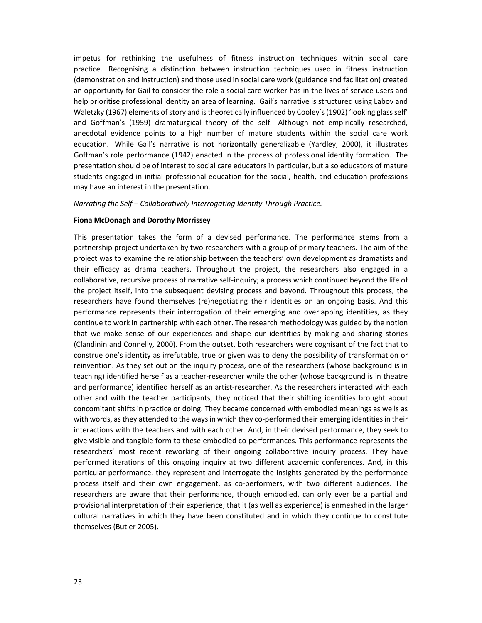impetus for rethinking the usefulness of fitness instruction techniques within social care practice. Recognising a distinction between instruction techniques used in fitness instruction (demonstration and instruction) and those used in social care work (guidance and facilitation) created an opportunity for Gail to consider the role a social care worker has in the lives of service users and help prioritise professional identity an area of learning. Gail's narrative is structured using Labov and Waletzky (1967) elements of story and is theoretically influenced by Cooley's (1902) 'looking glass self' and Goffman's (1959) dramaturgical theory of the self. Although not empirically researched, anecdotal evidence points to a high number of mature students within the social care work education. While Gail's narrative is not horizontally generalizable (Yardley, 2000), it illustrates Goffman's role performance (1942) enacted in the process of professional identity formation. The presentation should be of interest to social care educators in particular, but also educators of mature students engaged in initial professional education for the social, health, and education professions may have an interest in the presentation.

#### *Narrating the Self – Collaboratively Interrogating Identity Through Practice.*

#### **Fiona McDonagh and Dorothy Morrissey**

This presentation takes the form of a devised performance. The performance stems from a partnership project undertaken by two researchers with a group of primary teachers. The aim of the project was to examine the relationship between the teachers' own development as dramatists and their efficacy as drama teachers. Throughout the project, the researchers also engaged in a collaborative, recursive process of narrative self‐inquiry; a process which continued beyond the life of the project itself, into the subsequent devising process and beyond. Throughout this process, the researchers have found themselves (re)negotiating their identities on an ongoing basis. And this performance represents their interrogation of their emerging and overlapping identities, as they continue to work in partnership with each other. The research methodology was guided by the notion that we make sense of our experiences and shape our identities by making and sharing stories (Clandinin and Connelly, 2000). From the outset, both researchers were cognisant of the fact that to construe one's identity as irrefutable, true or given was to deny the possibility of transformation or reinvention. As they set out on the inquiry process, one of the researchers (whose background is in teaching) identified herself as a teacher‐researcher while the other (whose background is in theatre and performance) identified herself as an artist-researcher. As the researchers interacted with each other and with the teacher participants, they noticed that their shifting identities brought about concomitant shifts in practice or doing. They became concerned with embodied meanings as wells as with words, as they attended to the ways in which they co-performed their emerging identities in their interactions with the teachers and with each other. And, in their devised performance, they seek to give visible and tangible form to these embodied co-performances. This performance represents the researchers' most recent reworking of their ongoing collaborative inquiry process. They have performed iterations of this ongoing inquiry at two different academic conferences. And, in this particular performance, they represent and interrogate the insights generated by the performance process itself and their own engagement, as co-performers, with two different audiences. The researchers are aware that their performance, though embodied, can only ever be a partial and provisional interpretation of their experience; that it (as well as experience) is enmeshed in the larger cultural narratives in which they have been constituted and in which they continue to constitute themselves (Butler 2005).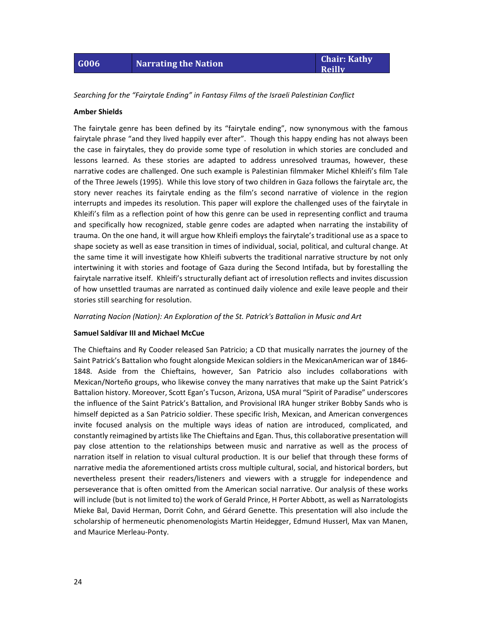*Searching for the "Fairytale Ending" in Fantasy Films of the Israeli Palestinian Conflict*

#### **Amber Shields**

The fairytale genre has been defined by its "fairytale ending", now synonymous with the famous fairytale phrase "and they lived happily ever after". Though this happy ending has not always been the case in fairytales, they do provide some type of resolution in which stories are concluded and lessons learned. As these stories are adapted to address unresolved traumas, however, these narrative codes are challenged. One such example is Palestinian filmmaker Michel Khleifi's film Tale of the Three Jewels (1995). While this love story of two children in Gaza follows the fairytale arc, the story never reaches its fairytale ending as the film's second narrative of violence in the region interrupts and impedes its resolution. This paper will explore the challenged uses of the fairytale in Khleifi's film as a reflection point of how this genre can be used in representing conflict and trauma and specifically how recognized, stable genre codes are adapted when narrating the instability of trauma. On the one hand, it will argue how Khleifi employs the fairytale's traditional use as a space to shape society as well as ease transition in times of individual, social, political, and cultural change. At the same time it will investigate how Khleifi subverts the traditional narrative structure by not only intertwining it with stories and footage of Gaza during the Second Intifada, but by forestalling the fairytale narrative itself. Khleifi's structurally defiant act of irresolution reflects and invites discussion of how unsettled traumas are narrated as continued daily violence and exile leave people and their stories still searching for resolution.

*Narrating Nacíon (Nation): An Exploration of the St. Patrick's Battalion in Music and Art*

#### **Samuel Saldívar III and Michael McCue**

The Chieftains and Ry Cooder released San Patricio; a CD that musically narrates the journey of the Saint Patrick's Battalion who fought alongside Mexican soldiers in the MexicanAmerican war of 1846‐ 1848. Aside from the Chieftains, however, San Patricio also includes collaborations with Mexican/Norteño groups, who likewise convey the many narratives that make up the Saint Patrick's Battalion history. Moreover, Scott Egan's Tucson, Arizona, USA mural "Spirit of Paradise" underscores the influence of the Saint Patrick's Battalion, and Provisional IRA hunger striker Bobby Sands who is himself depicted as a San Patricio soldier. These specific Irish, Mexican, and American convergences invite focused analysis on the multiple ways ideas of nation are introduced, complicated, and constantly reimagined by artistslike The Chieftains and Egan. Thus, this collaborative presentation will pay close attention to the relationships between music and narrative as well as the process of narration itself in relation to visual cultural production. It is our belief that through these forms of narrative media the aforementioned artists cross multiple cultural, social, and historical borders, but nevertheless present their readers/listeners and viewers with a struggle for independence and perseverance that is often omitted from the American social narrative. Our analysis of these works will include (but is not limited to) the work of Gerald Prince, H Porter Abbott, as well as Narratologists Mieke Bal, David Herman, Dorrit Cohn, and Gérard Genette. This presentation will also include the scholarship of hermeneutic phenomenologists Martin Heidegger, Edmund Husserl, Max van Manen, and Maurice Merleau‐Ponty.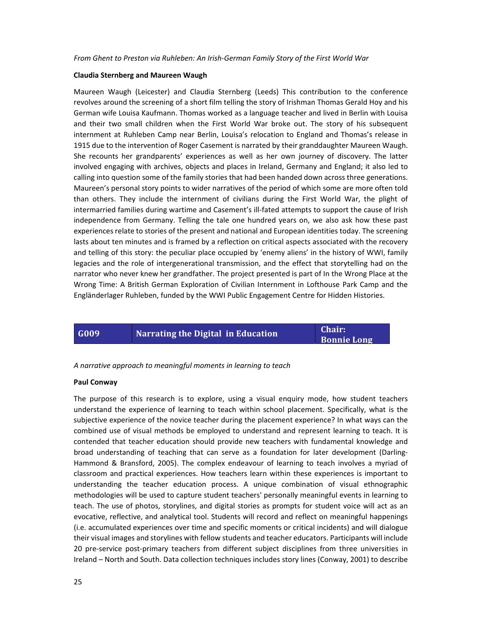*From Ghent to Preston via Ruhleben: An Irish‐German Family Story of the First World War*

#### **Claudia Sternberg and Maureen Waugh**

Maureen Waugh (Leicester) and Claudia Sternberg (Leeds) This contribution to the conference revolves around the screening of a short film telling the story of Irishman Thomas Gerald Hoy and his German wife Louisa Kaufmann. Thomas worked as a language teacher and lived in Berlin with Louisa and their two small children when the First World War broke out. The story of his subsequent internment at Ruhleben Camp near Berlin, Louisa's relocation to England and Thomas's release in 1915 due to the intervention of Roger Casement is narrated by their granddaughter Maureen Waugh. She recounts her grandparents' experiences as well as her own journey of discovery. The latter involved engaging with archives, objects and places in Ireland, Germany and England; it also led to calling into question some of the family stories that had been handed down across three generations. Maureen's personal story points to wider narratives of the period of which some are more often told than others. They include the internment of civilians during the First World War, the plight of intermarried families during wartime and Casement's ill‐fated attempts to support the cause of Irish independence from Germany. Telling the tale one hundred years on, we also ask how these past experiences relate to stories of the present and national and European identities today. The screening lasts about ten minutes and is framed by a reflection on critical aspects associated with the recovery and telling of this story: the peculiar place occupied by 'enemy aliens' in the history of WWI, family legacies and the role of intergenerational transmission, and the effect that storytelling had on the narrator who never knew her grandfather. The project presented is part of In the Wrong Place at the Wrong Time: A British German Exploration of Civilian Internment in Lofthouse Park Camp and the Engländerlager Ruhleben, funded by the WWI Public Engagement Centre for Hidden Histories.



*A narrative approach to meaningful moments in learning to teach*

#### **Paul Conway**

The purpose of this research is to explore, using a visual enquiry mode, how student teachers understand the experience of learning to teach within school placement. Specifically, what is the subjective experience of the novice teacher during the placement experience? In what ways can the combined use of visual methods be employed to understand and represent learning to teach. It is contended that teacher education should provide new teachers with fundamental knowledge and broad understanding of teaching that can serve as a foundation for later development (Darling‐ Hammond & Bransford, 2005). The complex endeavour of learning to teach involves a myriad of classroom and practical experiences. How teachers learn within these experiences is important to understanding the teacher education process. A unique combination of visual ethnographic methodologies will be used to capture student teachers' personally meaningful events in learning to teach. The use of photos, storylines, and digital stories as prompts for student voice will act as an evocative, reflective, and analytical tool. Students will record and reflect on meaningful happenings (i.e. accumulated experiences over time and specific moments or critical incidents) and will dialogue their visual images and storylines with fellow students and teacher educators. Participants will include 20 pre-service post-primary teachers from different subject disciplines from three universities in Ireland – North and South. Data collection techniques includes story lines (Conway, 2001) to describe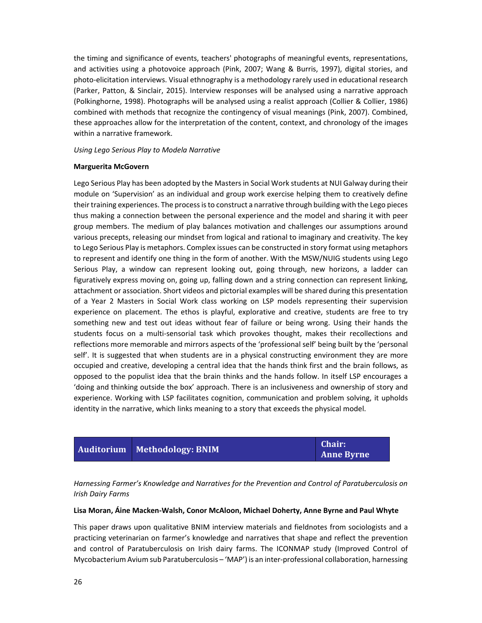the timing and significance of events, teachers' photographs of meaningful events, representations, and activities using a photovoice approach (Pink, 2007; Wang & Burris, 1997), digital stories, and photo‐elicitation interviews. Visual ethnography is a methodology rarely used in educational research (Parker, Patton, & Sinclair, 2015). Interview responses will be analysed using a narrative approach (Polkinghorne, 1998). Photographs will be analysed using a realist approach (Collier & Collier, 1986) combined with methods that recognize the contingency of visual meanings (Pink, 2007). Combined, these approaches allow for the interpretation of the content, context, and chronology of the images within a narrative framework.

#### *Using Lego Serious Play to Modela Narrative*

#### **Marguerita McGovern**

Lego Serious Play has been adopted by the Masters in Social Work students at NUI Galway during their module on 'Supervision' as an individual and group work exercise helping them to creatively define their training experiences. The process is to construct a narrative through building with the Lego pieces thus making a connection between the personal experience and the model and sharing it with peer group members. The medium of play balances motivation and challenges our assumptions around various precepts, releasing our mindset from logical and rational to imaginary and creativity. The key to Lego Serious Play is metaphors. Complex issues can be constructed in story format using metaphors to represent and identify one thing in the form of another. With the MSW/NUIG students using Lego Serious Play, a window can represent looking out, going through, new horizons, a ladder can figuratively express moving on, going up, falling down and a string connection can represent linking, attachment or association. Short videos and pictorial examples will be shared during this presentation of a Year 2 Masters in Social Work class working on LSP models representing their supervision experience on placement. The ethos is playful, explorative and creative, students are free to try something new and test out ideas without fear of failure or being wrong. Using their hands the students focus on a multi-sensorial task which provokes thought, makes their recollections and reflections more memorable and mirrors aspects of the 'professional self' being built by the 'personal self'. It is suggested that when students are in a physical constructing environment they are more occupied and creative, developing a central idea that the hands think first and the brain follows, as opposed to the populist idea that the brain thinks and the hands follow. In itself LSP encourages a 'doing and thinking outside the box' approach. There is an inclusiveness and ownership of story and experience. Working with LSP facilitates cognition, communication and problem solving, it upholds identity in the narrative, which links meaning to a story that exceeds the physical model.

|  | Auditorium Methodology: BNIM | Chair:            |  |
|--|------------------------------|-------------------|--|
|  |                              | <b>Anne Byrne</b> |  |

*Harnessing Farmer's Knowledge and Narratives for the Prevention and Control of Paratuberculosis on Irish Dairy Farms*

#### **Lisa Moran, Áine Macken‐Walsh, Conor McAloon, Michael Doherty, Anne Byrne and Paul Whyte**

This paper draws upon qualitative BNIM interview materials and fieldnotes from sociologists and a practicing veterinarian on farmer's knowledge and narratives that shape and reflect the prevention and control of Paratuberculosis on Irish dairy farms. The ICONMAP study (Improved Control of Mycobacterium Avium sub Paratuberculosis – 'MAP') is an inter‐professional collaboration, harnessing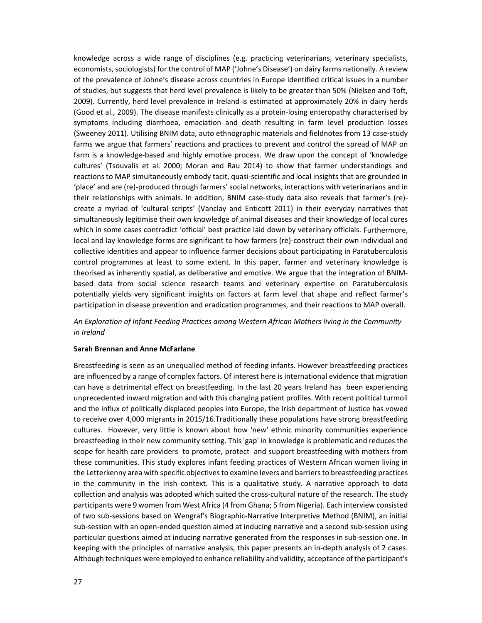knowledge across a wide range of disciplines (e.g. practicing veterinarians, veterinary specialists, economists, sociologists) for the control of MAP ('Johne's Disease') on dairy farms nationally. A review of the prevalence of Johne's disease across countries in Europe identified critical issues in a number of studies, but suggests that herd level prevalence is likely to be greater than 50% (Nielsen and Toft, 2009). Currently, herd level prevalence in Ireland is estimated at approximately 20% in dairy herds (Good et al., 2009). The disease manifests clinically as a protein‐losing enteropathy characterised by symptoms including diarrhoea, emaciation and death resulting in farm level production losses (Sweeney 2011). Utilising BNIM data, auto ethnographic materials and fieldnotes from 13 case‐study farms we argue that farmers' reactions and practices to prevent and control the spread of MAP on farm is a knowledge-based and highly emotive process. We draw upon the concept of 'knowledge cultures' (Tsouvalis et al. 2000; Moran and Rau 2014) to show that farmer understandings and reactions to MAP simultaneously embody tacit, quasi-scientific and local insights that are grounded in 'place' and are (re)‐produced through farmers' social networks, interactions with veterinarians and in their relationships with animals. In addition, BNIM case‐study data also reveals that farmer's (re)‐ create a myriad of 'cultural scripts' (Vanclay and Enticott 2011) in their everyday narratives that simultaneously legitimise their own knowledge of animal diseases and their knowledge of local cures which in some cases contradict 'official' best practice laid down by veterinary officials. Furthermore, local and lay knowledge forms are significant to how farmers (re)‐construct their own individual and collective identities and appear to influence farmer decisions about participating in Paratuberculosis control programmes at least to some extent. In this paper, farmer and veterinary knowledge is theorised as inherently spatial, as deliberative and emotive. We argue that the integration of BNIM‐ based data from social science research teams and veterinary expertise on Paratuberculosis potentially yields very significant insights on factors at farm level that shape and reflect farmer's participation in disease prevention and eradication programmes, and their reactions to MAP overall.

#### *An Exploration of Infant Feeding Practices among Western African Mothers living in the Community in Ireland*

#### **Sarah Brennan and Anne McFarlane**

Breastfeeding is seen as an unequalled method of feeding infants. However breastfeeding practices are influenced by a range of complex factors. Of interest here is international evidence that migration can have a detrimental effect on breastfeeding. In the last 20 years Ireland has been experiencing unprecedented inward migration and with this changing patient profiles. With recent political turmoil and the influx of politically displaced peoples into Europe, the Irish department of Justice has vowed to receive over 4,000 migrants in 2015/16.Traditionally these populations have strong breastfeeding cultures. However, very little is known about how 'new' ethnic minority communities experience breastfeeding in their new community setting. This 'gap' in knowledge is problematic and reduces the scope for health care providers to promote, protect and support breastfeeding with mothers from these communities. This study explores infant feeding practices of Western African women living in the Letterkenny area with specific objectivesto examine levers and barriersto breastfeeding practices in the community in the Irish context. This is a qualitative study. A narrative approach to data collection and analysis was adopted which suited the cross-cultural nature of the research. The study participants were 9 women from West Africa (4 from Ghana; 5 from Nigeria). Each interview consisted of two sub‐sessions based on Wengraf's Biographic‐Narrative Interpretive Method (BNIM), an initial sub-session with an open-ended question aimed at inducing narrative and a second sub-session using particular questions aimed at inducing narrative generated from the responses in sub‐session one. In keeping with the principles of narrative analysis, this paper presents an in‐depth analysis of 2 cases. Although techniques were employed to enhance reliability and validity, acceptance ofthe participant's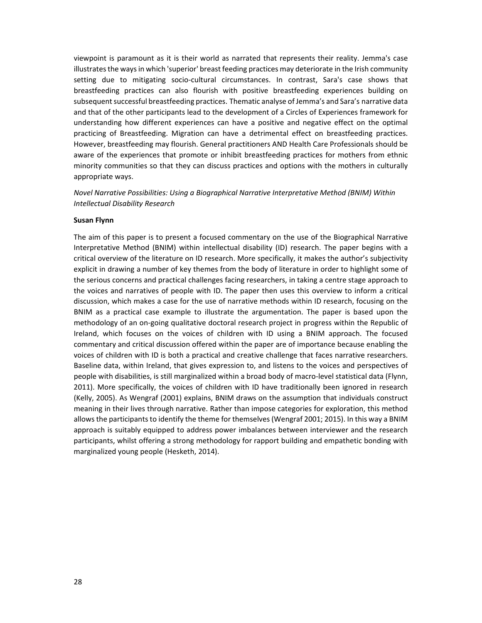viewpoint is paramount as it is their world as narrated that represents their reality. Jemma's case illustrates the ways in which 'superior' breast feeding practices may deteriorate in the Irish community setting due to mitigating socio-cultural circumstances. In contrast, Sara's case shows that breastfeeding practices can also flourish with positive breastfeeding experiences building on subsequent successful breastfeeding practices. Thematic analyse of Jemma's and Sara's narrative data and that of the other participants lead to the development of a Circles of Experiences framework for understanding how different experiences can have a positive and negative effect on the optimal practicing of Breastfeeding. Migration can have a detrimental effect on breastfeeding practices. However, breastfeeding may flourish. General practitioners AND Health Care Professionals should be aware of the experiences that promote or inhibit breastfeeding practices for mothers from ethnic minority communities so that they can discuss practices and options with the mothers in culturally appropriate ways.

*Novel Narrative Possibilities: Using a Biographical Narrative Interpretative Method (BNIM) Within Intellectual Disability Research*

#### **Susan Flynn**

The aim of this paper is to present a focused commentary on the use of the Biographical Narrative Interpretative Method (BNIM) within intellectual disability (ID) research. The paper begins with a critical overview of the literature on ID research. More specifically, it makes the author's subjectivity explicit in drawing a number of key themes from the body of literature in order to highlight some of the serious concerns and practical challenges facing researchers, in taking a centre stage approach to the voices and narratives of people with ID. The paper then uses this overview to inform a critical discussion, which makes a case for the use of narrative methods within ID research, focusing on the BNIM as a practical case example to illustrate the argumentation. The paper is based upon the methodology of an on‐going qualitative doctoral research project in progress within the Republic of Ireland, which focuses on the voices of children with ID using a BNIM approach. The focused commentary and critical discussion offered within the paper are of importance because enabling the voices of children with ID is both a practical and creative challenge that faces narrative researchers. Baseline data, within Ireland, that gives expression to, and listens to the voices and perspectives of people with disabilities, is still marginalized within a broad body of macro‐level statistical data (Flynn, 2011). More specifically, the voices of children with ID have traditionally been ignored in research (Kelly, 2005). As Wengraf (2001) explains, BNIM draws on the assumption that individuals construct meaning in their lives through narrative. Rather than impose categories for exploration, this method allows the participants to identify the theme for themselves (Wengraf 2001; 2015). In this way a BNIM approach is suitably equipped to address power imbalances between interviewer and the research participants, whilst offering a strong methodology for rapport building and empathetic bonding with marginalized young people (Hesketh, 2014).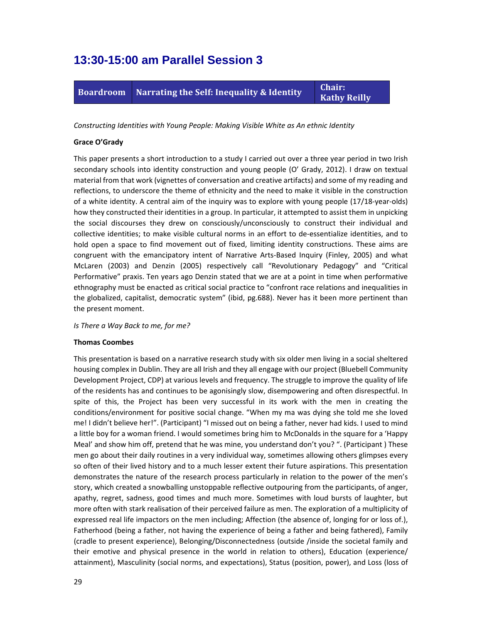### **13:30-15:00 am Parallel Session 3**



*Constructing Identities with Young People: Making Visible White as An ethnic Identity*

#### **Grace O'Grady**

This paper presents a short introduction to a study I carried out over a three year period in two Irish secondary schools into identity construction and young people (O' Grady, 2012). I draw on textual material from that work (vignettes of conversation and creative artifacts) and some of my reading and reflections, to underscore the theme of ethnicity and the need to make it visible in the construction of a white identity. A central aim of the inquiry was to explore with young people (17/18‐year‐olds) how they constructed their identities in a group. In particular, it attempted to assist them in unpicking the social discourses they drew on consciously/unconsciously to construct their individual and collective identities; to make visible cultural norms in an effort to de‐essentialize identities, and to hold open a space to find movement out of fixed, limiting identity constructions. These aims are congruent with the emancipatory intent of Narrative Arts-Based Inquiry (Finley, 2005) and what McLaren (2003) and Denzin (2005) respectively call "Revolutionary Pedagogy" and "Critical Performative" praxis. Ten years ago Denzin stated that we are at a point in time when performative ethnography must be enacted as critical social practice to "confront race relations and inequalities in the globalized, capitalist, democratic system" (ibid, pg.688). Never has it been more pertinent than the present moment.

#### *Is There a Way Back to me, for me?*

#### **Thomas Coombes**

This presentation is based on a narrative research study with six older men living in a social sheltered housing complex in Dublin. They are all Irish and they all engage with our project (Bluebell Community Development Project, CDP) at various levels and frequency. The struggle to improve the quality of life of the residents has and continues to be agonisingly slow, disempowering and often disrespectful. In spite of this, the Project has been very successful in its work with the men in creating the conditions/environment for positive social change. "When my ma was dying she told me she loved me! I didn't believe her!". (Participant) "I missed out on being a father, never had kids. I used to mind a little boy for a woman friend. I would sometimes bring him to McDonalds in the square for a 'Happy Meal' and show him off, pretend that he was mine, you understand don't you? ". (Participant ) These men go about their daily routines in a very individual way, sometimes allowing others glimpses every so often of their lived history and to a much lesser extent their future aspirations. This presentation demonstrates the nature of the research process particularly in relation to the power of the men's story, which created a snowballing unstoppable reflective outpouring from the participants, of anger, apathy, regret, sadness, good times and much more. Sometimes with loud bursts of laughter, but more often with stark realisation of their perceived failure as men. The exploration of a multiplicity of expressed real life impactors on the men including; Affection (the absence of, longing for or loss of.), Fatherhood (being a father, not having the experience of being a father and being fathered), Family (cradle to present experience), Belonging/Disconnectedness (outside /inside the societal family and their emotive and physical presence in the world in relation to others), Education (experience/ attainment), Masculinity (social norms, and expectations), Status (position, power), and Loss (loss of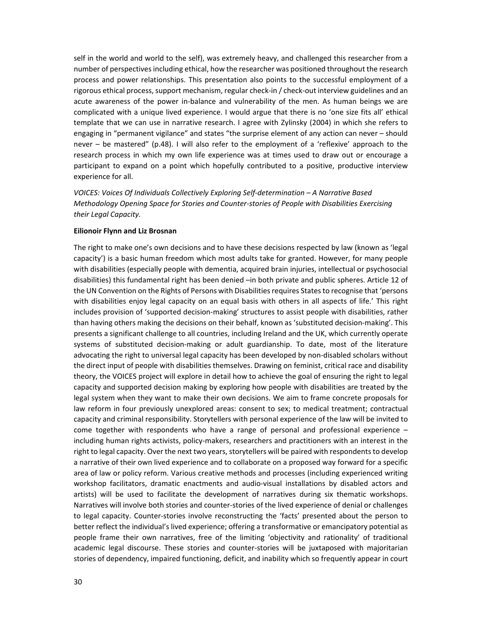self in the world and world to the self), was extremely heavy, and challenged this researcher from a number of perspectives including ethical, how the researcher was positioned throughout the research process and power relationships. This presentation also points to the successful employment of a rigorous ethical process, support mechanism, regular check‐in / check‐out interview guidelines and an acute awareness of the power in‐balance and vulnerability of the men. As human beings we are complicated with a unique lived experience. I would argue that there is no 'one size fits all' ethical template that we can use in narrative research. I agree with Zylinsky (2004) in which she refers to engaging in "permanent vigilance" and states "the surprise element of any action can never – should never – be mastered" (p.48). I will also refer to the employment of a 'reflexive' approach to the research process in which my own life experience was at times used to draw out or encourage a participant to expand on a point which hopefully contributed to a positive, productive interview experience for all.

*VOICES: Voices Of Individuals Collectively Exploring Self‐determination – A Narrative Based Methodology Opening Space for Stories and Counter‐stories of People with Disabilities Exercising their Legal Capacity.*

#### **Eilionoir Flynn and Liz Brosnan**

The right to make one's own decisions and to have these decisions respected by law (known as 'legal capacity') is a basic human freedom which most adults take for granted. However, for many people with disabilities (especially people with dementia, acquired brain injuries, intellectual or psychosocial disabilities) this fundamental right has been denied –in both private and public spheres. Article 12 of the UN Convention on the Rights of Persons with Disabilities requires States to recognise that 'persons with disabilities enjoy legal capacity on an equal basis with others in all aspects of life.' This right includes provision of 'supported decision‐making' structures to assist people with disabilities, rather than having others making the decisions on their behalf, known as 'substituted decision‐making'. This presents a significant challenge to all countries, including Ireland and the UK, which currently operate systems of substituted decision-making or adult guardianship. To date, most of the literature advocating the right to universal legal capacity has been developed by non‐disabled scholars without the direct input of people with disabilities themselves. Drawing on feminist, critical race and disability theory, the VOICES project will explore in detail how to achieve the goal of ensuring the right to legal capacity and supported decision making by exploring how people with disabilities are treated by the legal system when they want to make their own decisions. We aim to frame concrete proposals for law reform in four previously unexplored areas: consent to sex; to medical treatment; contractual capacity and criminal responsibility. Storytellers with personal experience of the law will be invited to come together with respondents who have a range of personal and professional experience – including human rights activists, policy-makers, researchers and practitioners with an interest in the right to legal capacity. Over the next two years, storytellers will be paired with respondents to develop a narrative of their own lived experience and to collaborate on a proposed way forward for a specific area of law or policy reform. Various creative methods and processes (including experienced writing workshop facilitators, dramatic enactments and audio‐visual installations by disabled actors and artists) will be used to facilitate the development of narratives during six thematic workshops. Narratives will involve both stories and counter‐stories of the lived experience of denial or challenges to legal capacity. Counter‐stories involve reconstructing the 'facts' presented about the person to better reflect the individual's lived experience; offering a transformative or emancipatory potential as people frame their own narratives, free of the limiting 'objectivity and rationality' of traditional academic legal discourse. These stories and counter‐stories will be juxtaposed with majoritarian stories of dependency, impaired functioning, deficit, and inability which so frequently appear in court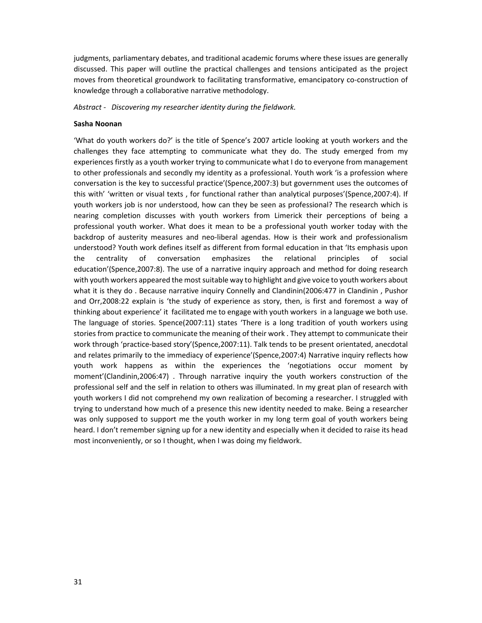judgments, parliamentary debates, and traditional academic forums where these issues are generally discussed. This paper will outline the practical challenges and tensions anticipated as the project moves from theoretical groundwork to facilitating transformative, emancipatory co-construction of knowledge through a collaborative narrative methodology.

*Abstract ‐ Discovering my researcher identity during the fieldwork.* 

#### **Sasha Noonan**

'What do youth workers do?' is the title of Spence's 2007 article looking at youth workers and the challenges they face attempting to communicate what they do. The study emerged from my experiences firstly as a youth worker trying to communicate what I do to everyone from management to other professionals and secondly my identity as a professional. Youth work 'is a profession where conversation is the key to successful practice'(Spence,2007:3) but government uses the outcomes of this with' 'written or visual texts , for functional rather than analytical purposes'(Spence,2007:4). If youth workers job is nor understood, how can they be seen as professional? The research which is nearing completion discusses with youth workers from Limerick their perceptions of being a professional youth worker. What does it mean to be a professional youth worker today with the backdrop of austerity measures and neo‐liberal agendas. How is their work and professionalism understood? Youth work defines itself as different from formal education in that 'Its emphasis upon the centrality of conversation emphasizes the relational principles of social education'(Spence,2007:8). The use of a narrative inquiry approach and method for doing research with youth workers appeared the most suitable way to highlight and give voice to youth workers about what it is they do . Because narrative inquiry Connelly and Clandinin(2006:477 in Clandinin , Pushor and Orr,2008:22 explain is 'the study of experience as story, then, is first and foremost a way of thinking about experience' it facilitated me to engage with youth workers in a language we both use. The language of stories. Spence(2007:11) states 'There is a long tradition of youth workers using stories from practice to communicate the meaning of their work . They attempt to communicate their work through 'practice‐based story'(Spence,2007:11). Talk tends to be present orientated, anecdotal and relates primarily to the immediacy of experience'(Spence,2007:4) Narrative inquiry reflects how youth work happens as within the experiences the 'negotiations occur moment by moment'(Clandinin,2006:47) . Through narrative inquiry the youth workers construction of the professional self and the self in relation to others was illuminated. In my great plan of research with youth workers I did not comprehend my own realization of becoming a researcher. I struggled with trying to understand how much of a presence this new identity needed to make. Being a researcher was only supposed to support me the youth worker in my long term goal of youth workers being heard. I don't remember signing up for a new identity and especially when it decided to raise its head most inconveniently, or so I thought, when I was doing my fieldwork.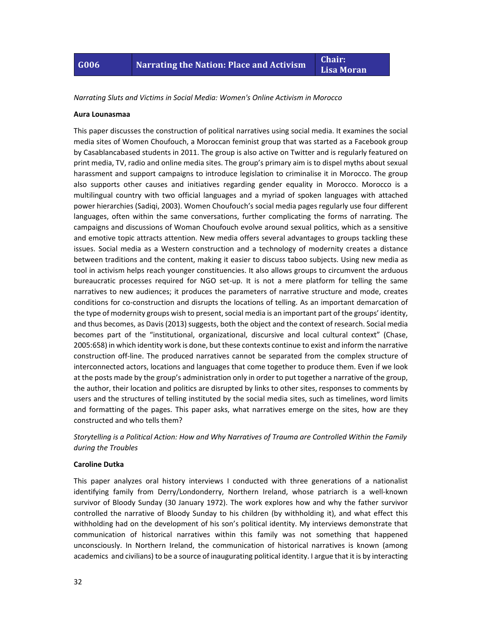**Lisa Moran**

*Narrating Sluts and Victims in Social Media: Women's Online Activism in Morocco*

#### **Aura Lounasmaa**

This paper discusses the construction of political narratives using social media. It examines the social media sites of Women Choufouch, a Moroccan feminist group that was started as a Facebook group by Casablancabased students in 2011. The group is also active on Twitter and is regularly featured on print media, TV, radio and online media sites. The group's primary aim is to dispel myths about sexual harassment and support campaigns to introduce legislation to criminalise it in Morocco. The group also supports other causes and initiatives regarding gender equality in Morocco. Morocco is a multilingual country with two official languages and a myriad of spoken languages with attached power hierarchies (Sadiqi, 2003). Women Choufouch's social media pages regularly use four different languages, often within the same conversations, further complicating the forms of narrating. The campaigns and discussions of Woman Choufouch evolve around sexual politics, which as a sensitive and emotive topic attracts attention. New media offers several advantages to groups tackling these issues. Social media as a Western construction and a technology of modernity creates a distance between traditions and the content, making it easier to discuss taboo subjects. Using new media as tool in activism helps reach younger constituencies. It also allows groups to circumvent the arduous bureaucratic processes required for NGO set-up. It is not a mere platform for telling the same narratives to new audiences; it produces the parameters of narrative structure and mode, creates conditions for co-construction and disrupts the locations of telling. As an important demarcation of the type of modernity groups wish to present, social media is an important part of the groups' identity, and thus becomes, as Davis (2013) suggests, both the object and the context of research. Social media becomes part of the "institutional, organizational, discursive and local cultural context" (Chase, 2005:658) in which identity work is done, but these contexts continue to exist and inform the narrative construction off‐line. The produced narratives cannot be separated from the complex structure of interconnected actors, locations and languages that come together to produce them. Even if we look at the posts made by the group's administration only in order to put together a narrative of the group, the author, their location and politics are disrupted by links to other sites, responses to comments by users and the structures of telling instituted by the social media sites, such as timelines, word limits and formatting of the pages. This paper asks, what narratives emerge on the sites, how are they constructed and who tells them?

#### *Storytelling is a Political Action: How and Why Narratives of Trauma are Controlled Within the Family during the Troubles*

#### **Caroline Dutka**

This paper analyzes oral history interviews I conducted with three generations of a nationalist identifying family from Derry/Londonderry, Northern Ireland, whose patriarch is a well‐known survivor of Bloody Sunday (30 January 1972). The work explores how and why the father survivor controlled the narrative of Bloody Sunday to his children (by withholding it), and what effect this withholding had on the development of his son's political identity. My interviews demonstrate that communication of historical narratives within this family was not something that happened unconsciously. In Northern Ireland, the communication of historical narratives is known (among academics and civilians) to be a source of inaugurating political identity. I argue that it is by interacting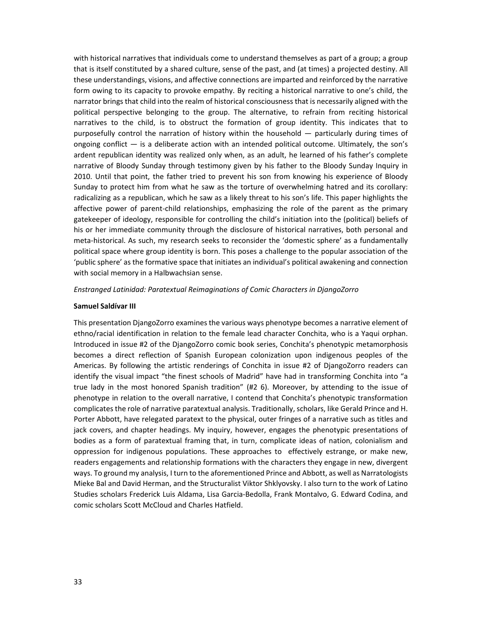with historical narratives that individuals come to understand themselves as part of a group; a group that is itself constituted by a shared culture, sense of the past, and (at times) a projected destiny. All these understandings, visions, and affective connections are imparted and reinforced by the narrative form owing to its capacity to provoke empathy. By reciting a historical narrative to one's child, the narrator brings that child into the realm of historical consciousness that is necessarily aligned with the political perspective belonging to the group. The alternative, to refrain from reciting historical narratives to the child, is to obstruct the formation of group identity. This indicates that to purposefully control the narration of history within the household — particularly during times of ongoing conflict — is a deliberate action with an intended political outcome. Ultimately, the son's ardent republican identity was realized only when, as an adult, he learned of his father's complete narrative of Bloody Sunday through testimony given by his father to the Bloody Sunday Inquiry in 2010. Until that point, the father tried to prevent his son from knowing his experience of Bloody Sunday to protect him from what he saw as the torture of overwhelming hatred and its corollary: radicalizing as a republican, which he saw as a likely threat to his son's life. This paper highlights the affective power of parent‐child relationships, emphasizing the role of the parent as the primary gatekeeper of ideology, responsible for controlling the child's initiation into the (political) beliefs of his or her immediate community through the disclosure of historical narratives, both personal and meta‐historical. As such, my research seeks to reconsider the 'domestic sphere' as a fundamentally political space where group identity is born. This poses a challenge to the popular association of the 'public sphere' as the formative space that initiates an individual's political awakening and connection with social memory in a Halbwachsian sense.

#### *Enstranged Latinidad: Paratextual Reimaginations of Comic Characters in DjangoZorro*

#### **Samuel Saldívar III**

This presentation DjangoZorro examines the various ways phenotype becomes a narrative element of ethno/racial identification in relation to the female lead character Conchita, who is a Yaqui orphan. Introduced in issue #2 of the DjangoZorro comic book series, Conchita's phenotypic metamorphosis becomes a direct reflection of Spanish European colonization upon indigenous peoples of the Americas. By following the artistic renderings of Conchita in issue #2 of DjangoZorro readers can identify the visual impact "the finest schools of Madrid" have had in transforming Conchita into "a true lady in the most honored Spanish tradition" (#2 6). Moreover, by attending to the issue of phenotype in relation to the overall narrative, I contend that Conchita's phenotypic transformation complicates the role of narrative paratextual analysis. Traditionally, scholars, like Gerald Prince and H. Porter Abbott, have relegated paratext to the physical, outer fringes of a narrative such as titles and jack covers, and chapter headings. My inquiry, however, engages the phenotypic presentations of bodies as a form of paratextual framing that, in turn, complicate ideas of nation, colonialism and oppression for indigenous populations. These approaches to effectively estrange, or make new, readers engagements and relationship formations with the characters they engage in new, divergent ways. To ground my analysis, I turn to the aforementioned Prince and Abbott, as well as Narratologists Mieke Bal and David Herman, and the Structuralist Viktor Shklyovsky. I also turn to the work of Latino Studies scholars Frederick Luis Aldama, Lisa Garcia‐Bedolla, Frank Montalvo, G. Edward Codina, and comic scholars Scott McCloud and Charles Hatfield.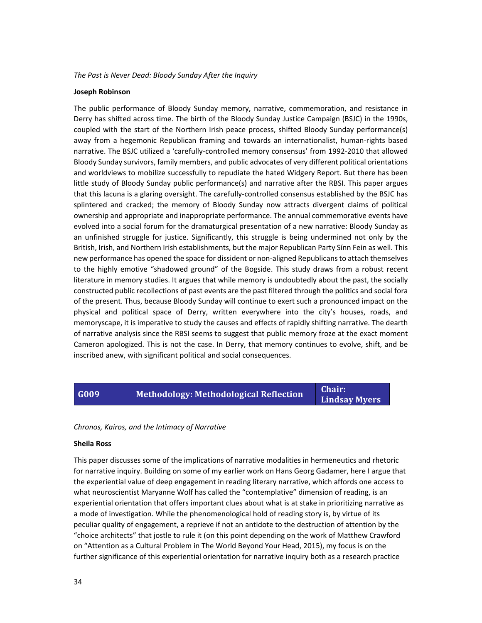#### *The Past is Never Dead: Bloody Sunday After the Inquiry*

#### **Joseph Robinson**

The public performance of Bloody Sunday memory, narrative, commemoration, and resistance in Derry has shifted across time. The birth of the Bloody Sunday Justice Campaign (BSJC) in the 1990s, coupled with the start of the Northern Irish peace process, shifted Bloody Sunday performance(s) away from a hegemonic Republican framing and towards an internationalist, human‐rights based narrative. The BSJC utilized a 'carefully‐controlled memory consensus' from 1992‐2010 that allowed Bloody Sunday survivors, family members, and public advocates of very different political orientations and worldviews to mobilize successfully to repudiate the hated Widgery Report. But there has been little study of Bloody Sunday public performance(s) and narrative after the RBSI. This paper argues that this lacuna is a glaring oversight. The carefully‐controlled consensus established by the BSJC has splintered and cracked; the memory of Bloody Sunday now attracts divergent claims of political ownership and appropriate and inappropriate performance. The annual commemorative events have evolved into a social forum for the dramaturgical presentation of a new narrative: Bloody Sunday as an unfinished struggle for justice. Significantly, this struggle is being undermined not only by the British, Irish, and Northern Irish establishments, but the major Republican Party Sínn Fein as well. This new performance has opened the space for dissident or non-aligned Republicans to attach themselves to the highly emotive "shadowed ground" of the Bogside. This study draws from a robust recent literature in memory studies. It argues that while memory is undoubtedly about the past, the socially constructed public recollections of past events are the past filtered through the politics and social fora of the present. Thus, because Bloody Sunday will continue to exert such a pronounced impact on the physical and political space of Derry, written everywhere into the city's houses, roads, and memoryscape, it is imperative to study the causes and effects of rapidly shifting narrative. The dearth of narrative analysis since the RBSI seems to suggest that public memory froze at the exact moment Cameron apologized. This is not the case. In Derry, that memory continues to evolve, shift, and be inscribed anew, with significant political and social consequences.

### **G009 Methodology: Methodological Reflection Chair:**

**Lindsay Myers**

#### *Chronos, Kairos, and the Intimacy of Narrative*

#### **Sheila Ross**

This paper discusses some of the implications of narrative modalities in hermeneutics and rhetoric for narrative inquiry. Building on some of my earlier work on Hans Georg Gadamer, here I argue that the experiential value of deep engagement in reading literary narrative, which affords one access to what neuroscientist Maryanne Wolf has called the "contemplative" dimension of reading, is an experiential orientation that offers important clues about what is at stake in prioritizing narrative as a mode of investigation. While the phenomenological hold of reading story is, by virtue of its peculiar quality of engagement, a reprieve if not an antidote to the destruction of attention by the "choice architects" that jostle to rule it (on this point depending on the work of Matthew Crawford on "Attention as a Cultural Problem in The World Beyond Your Head, 2015), my focus is on the further significance of this experiential orientation for narrative inquiry both as a research practice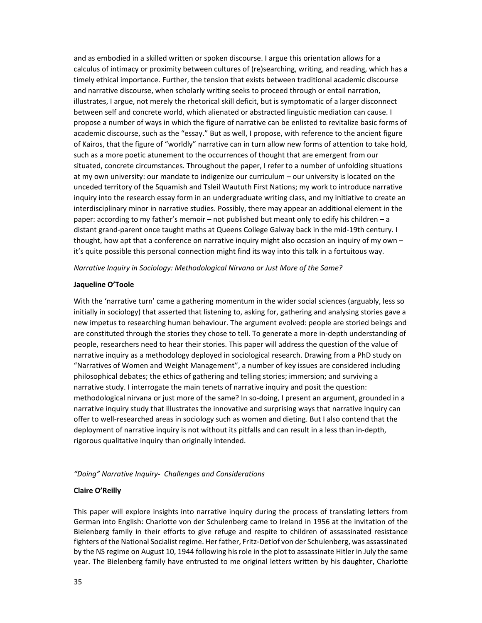and as embodied in a skilled written or spoken discourse. I argue this orientation allows for a calculus of intimacy or proximity between cultures of (re)searching, writing, and reading, which has a timely ethical importance. Further, the tension that exists between traditional academic discourse and narrative discourse, when scholarly writing seeks to proceed through or entail narration, illustrates, I argue, not merely the rhetorical skill deficit, but is symptomatic of a larger disconnect between self and concrete world, which alienated or abstracted linguistic mediation can cause. I propose a number of ways in which the figure of narrative can be enlisted to revitalize basic forms of academic discourse, such as the "essay." But as well, I propose, with reference to the ancient figure of Kairos, that the figure of "worldly" narrative can in turn allow new forms of attention to take hold, such as a more poetic atunement to the occurrences of thought that are emergent from our situated, concrete circumstances. Throughout the paper, I refer to a number of unfolding situations at my own university: our mandate to indigenize our curriculum – our university is located on the unceded territory of the Squamish and Tsleil Waututh First Nations; my work to introduce narrative inquiry into the research essay form in an undergraduate writing class, and my initiative to create an interdisciplinary minor in narrative studies. Possibly, there may appear an additional element in the paper: according to my father's memoir – not published but meant only to edify his children – a distant grand‐parent once taught maths at Queens College Galway back in the mid‐19th century. I thought, how apt that a conference on narrative inquiry might also occasion an inquiry of my own – it's quite possible this personal connection might find its way into this talk in a fortuitous way.

*Narrative Inquiry in Sociology: Methodological Nirvana or Just More of the Same?*

#### **Jaqueline O'Toole**

With the 'narrative turn' came a gathering momentum in the wider social sciences (arguably, less so initially in sociology) that asserted that listening to, asking for, gathering and analysing stories gave a new impetus to researching human behaviour. The argument evolved: people are storied beings and are constituted through the stories they chose to tell. To generate a more in‐depth understanding of people, researchers need to hear their stories. This paper will address the question of the value of narrative inquiry as a methodology deployed in sociological research. Drawing from a PhD study on "Narratives of Women and Weight Management", a number of key issues are considered including philosophical debates; the ethics of gathering and telling stories; immersion; and surviving a narrative study. I interrogate the main tenets of narrative inquiry and posit the question: methodological nirvana or just more of the same? In so-doing, I present an argument, grounded in a narrative inquiry study that illustrates the innovative and surprising ways that narrative inquiry can offer to well-researched areas in sociology such as women and dieting. But I also contend that the deployment of narrative inquiry is not without its pitfalls and can result in a less than in‐depth, rigorous qualitative inquiry than originally intended.

#### *"Doing" Narrative Inquiry‐ Challenges and Considerations*

#### **Claire O'Reilly**

This paper will explore insights into narrative inquiry during the process of translating letters from German into English: Charlotte von der Schulenberg came to Ireland in 1956 at the invitation of the Bielenberg family in their efforts to give refuge and respite to children of assassinated resistance fighters of the National Socialistregime. Her father, Fritz‐Detlof von der Schulenberg, was assassinated by the NS regime on August 10, 1944 following hisrole in the plot to assassinate Hitler in July the same year. The Bielenberg family have entrusted to me original letters written by his daughter, Charlotte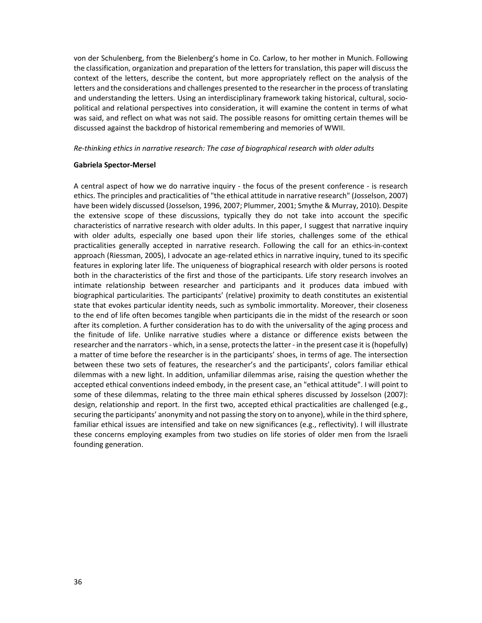von der Schulenberg, from the Bielenberg's home in Co. Carlow, to her mother in Munich. Following the classification, organization and preparation of the letters for translation, this paper will discuss the context of the letters, describe the content, but more appropriately reflect on the analysis of the letters and the considerations and challenges presented to the researcher in the process of translating and understanding the letters. Using an interdisciplinary framework taking historical, cultural, sociopolitical and relational perspectives into consideration, it will examine the content in terms of what was said, and reflect on what was not said. The possible reasons for omitting certain themes will be discussed against the backdrop of historical remembering and memories of WWII.

#### *Re‐thinking ethics in narrative research: The case of biographical research with older adults*

#### **Gabriela Spector‐Mersel**

A central aspect of how we do narrative inquiry - the focus of the present conference - is research ethics. The principles and practicalities of "the ethical attitude in narrative research" (Josselson, 2007) have been widely discussed (Josselson, 1996, 2007; Plummer, 2001; Smythe & Murray, 2010). Despite the extensive scope of these discussions, typically they do not take into account the specific characteristics of narrative research with older adults. In this paper, I suggest that narrative inquiry with older adults, especially one based upon their life stories, challenges some of the ethical practicalities generally accepted in narrative research. Following the call for an ethics-in-context approach (Riessman, 2005), I advocate an age-related ethics in narrative inquiry, tuned to its specific features in exploring later life. The uniqueness of biographical research with older persons is rooted both in the characteristics of the first and those of the participants. Life story research involves an intimate relationship between researcher and participants and it produces data imbued with biographical particularities. The participants' (relative) proximity to death constitutes an existential state that evokes particular identity needs, such as symbolic immortality. Moreover, their closeness to the end of life often becomes tangible when participants die in the midst of the research or soon after its completion. A further consideration has to do with the universality of the aging process and the finitude of life. Unlike narrative studies where a distance or difference exists between the researcher and the narrators - which, in a sense, protects the latter - in the present case it is (hopefully) a matter of time before the researcher is in the participants' shoes, in terms of age. The intersection between these two sets of features, the researcher's and the participants', colors familiar ethical dilemmas with a new light. In addition, unfamiliar dilemmas arise, raising the question whether the accepted ethical conventions indeed embody, in the present case, an "ethical attitude". I will point to some of these dilemmas, relating to the three main ethical spheres discussed by Josselson (2007): design, relationship and report. In the first two, accepted ethical practicalities are challenged (e.g., securing the participants' anonymity and not passing the story on to anyone), while in the third sphere, familiar ethical issues are intensified and take on new significances (e.g., reflectivity). I will illustrate these concerns employing examples from two studies on life stories of older men from the Israeli founding generation.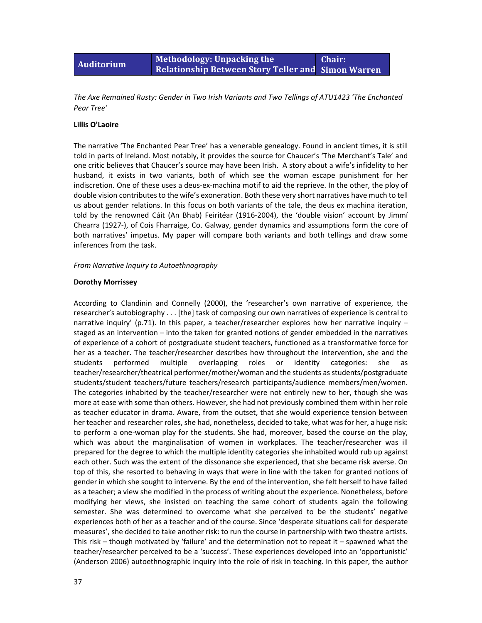#### **Auditorium Methodology: Unpacking the Relationship Between Story Teller and Simon Warren Chair:**

*The Axe Remained Rusty: Gender in Two Irish Variants and Two Tellings of ATU1423 'The Enchanted Pear Tree'*

#### **Lillis O'Laoire**

The narrative 'The Enchanted Pear Tree' has a venerable genealogy. Found in ancient times, it is still told in parts of Ireland. Most notably, it provides the source for Chaucer's 'The Merchant's Tale' and one critic believes that Chaucer's source may have been Irish. A story about a wife's infidelity to her husband, it exists in two variants, both of which see the woman escape punishment for her indiscretion. One of these uses a deus‐ex‐machina motif to aid the reprieve. In the other, the ploy of double vision contributes to the wife's exoneration. Both these very short narratives have much to tell us about gender relations. In this focus on both variants of the tale, the deus ex machina iteration, told by the renowned Cáit (An Bhab) Feiritéar (1916‐2004), the 'double vision' account by Jimmí Chearra (1927‐), of Cois Fharraige, Co. Galway, gender dynamics and assumptions form the core of both narratives' impetus. My paper will compare both variants and both tellings and draw some inferences from the task.

#### *From Narrative Inquiry to Autoethnography*

#### **Dorothy Morrissey**

According to Clandinin and Connelly (2000), the 'researcher's own narrative of experience, the researcher's autobiography . . . [the] task of composing our own narratives of experience is central to narrative inquiry' (p.71). In this paper, a teacher/researcher explores how her narrative inquiry – staged as an intervention – into the taken for granted notions of gender embedded in the narratives of experience of a cohort of postgraduate student teachers, functioned as a transformative force for her as a teacher. The teacher/researcher describes how throughout the intervention, she and the students performed multiple overlapping roles or identity categories: she as teacher/researcher/theatrical performer/mother/woman and the students as students/postgraduate students/student teachers/future teachers/research participants/audience members/men/women. The categories inhabited by the teacher/researcher were not entirely new to her, though she was more at ease with some than others. However, she had not previously combined them within her role as teacher educator in drama. Aware, from the outset, that she would experience tension between her teacher and researcher roles, she had, nonetheless, decided to take, what was for her, a huge risk: to perform a one-woman play for the students. She had, moreover, based the course on the play, which was about the marginalisation of women in workplaces. The teacher/researcher was ill prepared for the degree to which the multiple identity categories she inhabited would rub up against each other. Such was the extent of the dissonance she experienced, that she became risk averse. On top of this, she resorted to behaving in ways that were in line with the taken for granted notions of gender in which she sought to intervene. By the end of the intervention, she felt herself to have failed as a teacher; a view she modified in the process of writing about the experience. Nonetheless, before modifying her views, she insisted on teaching the same cohort of students again the following semester. She was determined to overcome what she perceived to be the students' negative experiences both of her as a teacher and of the course. Since 'desperate situations call for desperate measures', she decided to take another risk: to run the course in partnership with two theatre artists. This risk – though motivated by 'failure' and the determination not to repeat it – spawned what the teacher/researcher perceived to be a 'success'. These experiences developed into an 'opportunistic' (Anderson 2006) autoethnographic inquiry into the role of risk in teaching. In this paper, the author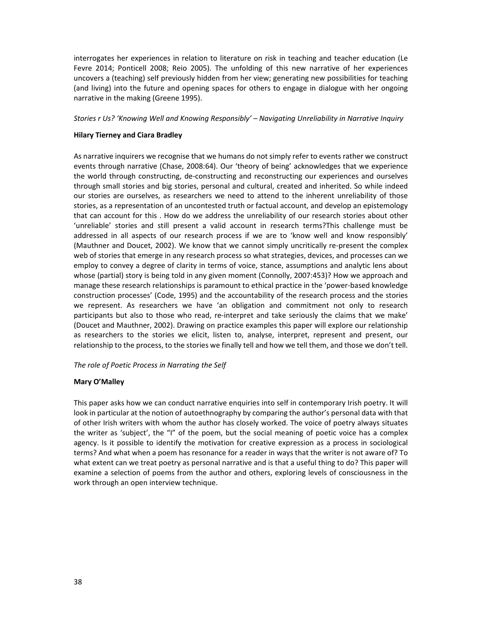interrogates her experiences in relation to literature on risk in teaching and teacher education (Le Fevre 2014; Ponticell 2008; Reio 2005). The unfolding of this new narrative of her experiences uncovers a (teaching) self previously hidden from her view; generating new possibilities for teaching (and living) into the future and opening spaces for others to engage in dialogue with her ongoing narrative in the making (Greene 1995).

#### *Stories r Us? 'Knowing Well and Knowing Responsibly' – Navigating Unreliability in Narrative Inquiry*

#### **Hilary Tierney and Ciara Bradley**

As narrative inquirers we recognise that we humans do not simply refer to events rather we construct events through narrative (Chase, 2008:64). Our 'theory of being' acknowledges that we experience the world through constructing, de‐constructing and reconstructing our experiences and ourselves through small stories and big stories, personal and cultural, created and inherited. So while indeed our stories are ourselves, as researchers we need to attend to the inherent unreliability of those stories, as a representation of an uncontested truth or factual account, and develop an epistemology that can account for this . How do we address the unreliability of our research stories about other 'unreliable' stories and still present a valid account in research terms?This challenge must be addressed in all aspects of our research process if we are to 'know well and know responsibly' (Mauthner and Doucet, 2002). We know that we cannot simply uncritically re‐present the complex web of stories that emerge in any research process so what strategies, devices, and processes can we employ to convey a degree of clarity in terms of voice, stance, assumptions and analytic lens about whose (partial) story is being told in any given moment (Connolly, 2007:453)? How we approach and manage these research relationships is paramount to ethical practice in the 'power‐based knowledge construction processes' (Code, 1995) and the accountability of the research process and the stories we represent. As researchers we have 'an obligation and commitment not only to research participants but also to those who read, re-interpret and take seriously the claims that we make' (Doucet and Mauthner, 2002). Drawing on practice examples this paper will explore our relationship as researchers to the stories we elicit, listen to, analyse, interpret, represent and present, our relationship to the process, to the stories we finally tell and how we tell them, and those we don't tell.

#### *The role of Poetic Process in Narrating the Self*

#### **Mary O'Malley**

This paper asks how we can conduct narrative enquiries into self in contemporary Irish poetry. It will look in particular at the notion of autoethnography by comparing the author's personal data with that of other Irish writers with whom the author has closely worked. The voice of poetry always situates the writer as 'subject', the "I" of the poem, but the social meaning of poetic voice has a complex agency. Is it possible to identify the motivation for creative expression as a process in sociological terms? And what when a poem has resonance for a reader in ways that the writer is not aware of? To what extent can we treat poetry as personal narrative and is that a useful thing to do? This paper will examine a selection of poems from the author and others, exploring levels of consciousness in the work through an open interview technique.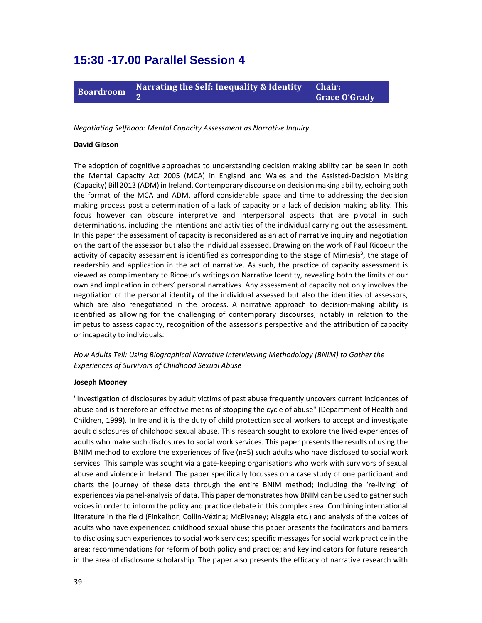### **15:30 -17.00 Parallel Session 4**



*Negotiating Selfhood: Mental Capacity Assessment as Narrative Inquiry*

#### **David Gibson**

The adoption of cognitive approaches to understanding decision making ability can be seen in both the Mental Capacity Act 2005 (MCA) in England and Wales and the Assisted‐Decision Making (Capacity) Bill 2013 (ADM) in Ireland. Contemporary discourse on decision making ability, echoing both the format of the MCA and ADM, afford considerable space and time to addressing the decision making process post a determination of a lack of capacity or a lack of decision making ability. This focus however can obscure interpretive and interpersonal aspects that are pivotal in such determinations, including the intentions and activities of the individual carrying out the assessment. In this paper the assessment of capacity is reconsidered as an act of narrative inquiry and negotiation on the part of the assessor but also the individual assessed. Drawing on the work of Paul Ricoeur the activity of capacity assessment is identified as corresponding to the stage of Mimesis<sup>3</sup>, the stage of readership and application in the act of narrative. As such, the practice of capacity assessment is viewed as complimentary to Ricoeur's writings on Narrative Identity, revealing both the limits of our own and implication in others' personal narratives. Any assessment of capacity not only involves the negotiation of the personal identity of the individual assessed but also the identities of assessors, which are also renegotiated in the process. A narrative approach to decision-making ability is identified as allowing for the challenging of contemporary discourses, notably in relation to the impetus to assess capacity, recognition of the assessor's perspective and the attribution of capacity or incapacity to individuals.

*How Adults Tell: Using Biographical Narrative Interviewing Methodology (BNIM) to Gather the Experiences of Survivors of Childhood Sexual Abuse*

#### **Joseph Mooney**

"Investigation of disclosures by adult victims of past abuse frequently uncovers current incidences of abuse and is therefore an effective means of stopping the cycle of abuse" (Department of Health and Children, 1999). In Ireland it is the duty of child protection social workers to accept and investigate adult disclosures of childhood sexual abuse. This research sought to explore the lived experiences of adults who make such disclosures to social work services. This paper presents the results of using the BNIM method to explore the experiences of five (n=5) such adults who have disclosed to social work services. This sample was sought via a gate‐keeping organisations who work with survivors of sexual abuse and violence in Ireland. The paper specifically focusses on a case study of one participant and charts the journey of these data through the entire BNIM method; including the 're‐living' of experiences via panel-analysis of data. This paper demonstrates how BNIM can be used to gather such voices in order to inform the policy and practice debate in this complex area. Combining international literature in the field (Finkelhor; Collin‐Vézina; McElvaney; Alaggia etc.) and analysis of the voices of adults who have experienced childhood sexual abuse this paper presents the facilitators and barriers to disclosing such experiencesto social work services; specific messages for social work practice in the area; recommendations for reform of both policy and practice; and key indicators for future research in the area of disclosure scholarship. The paper also presents the efficacy of narrative research with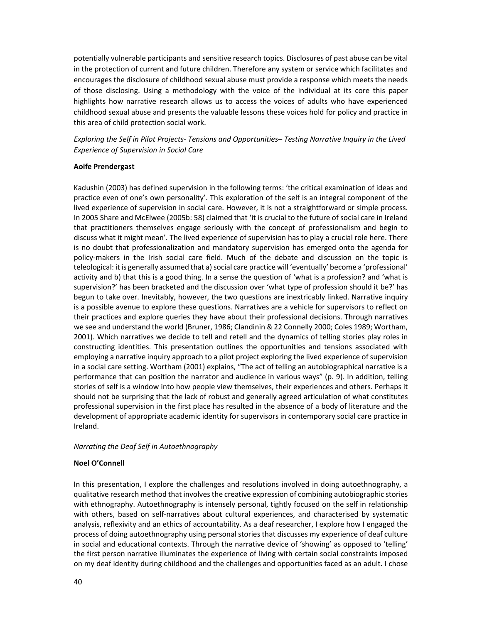potentially vulnerable participants and sensitive research topics. Disclosures of past abuse can be vital in the protection of current and future children. Therefore any system or service which facilitates and encourages the disclosure of childhood sexual abuse must provide a response which meets the needs of those disclosing. Using a methodology with the voice of the individual at its core this paper highlights how narrative research allows us to access the voices of adults who have experienced childhood sexual abuse and presents the valuable lessons these voices hold for policy and practice in this area of child protection social work.

*Exploring the Self in Pilot Projects‐ Tensions and Opportunities– Testing Narrative Inquiry in the Lived Experience of Supervision in Social Care*

#### **Aoife Prendergast**

Kadushin (2003) has defined supervision in the following terms: 'the critical examination of ideas and practice even of one's own personality'. This exploration of the self is an integral component of the lived experience of supervision in social care. However, it is not a straightforward or simple process. In 2005 Share and McElwee (2005b: 58) claimed that 'it is crucial to the future of social care in Ireland that practitioners themselves engage seriously with the concept of professionalism and begin to discuss what it might mean'. The lived experience of supervision has to play a crucial role here. There is no doubt that professionalization and mandatory supervision has emerged onto the agenda for policy‐makers in the Irish social care field. Much of the debate and discussion on the topic is teleological: it is generally assumed that a) social care practice will 'eventually' become a 'professional' activity and b) that this is a good thing. In a sense the question of 'what is a profession? and 'what is supervision?' has been bracketed and the discussion over 'what type of profession should it be?' has begun to take over. Inevitably, however, the two questions are inextricably linked. Narrative inquiry is a possible avenue to explore these questions. Narratives are a vehicle for supervisors to reflect on their practices and explore queries they have about their professional decisions. Through narratives we see and understand the world (Bruner, 1986; Clandinin & 22 Connelly 2000; Coles 1989; Wortham, 2001). Which narratives we decide to tell and retell and the dynamics of telling stories play roles in constructing identities. This presentation outlines the opportunities and tensions associated with employing a narrative inquiry approach to a pilot project exploring the lived experience of supervision in a social care setting. Wortham (2001) explains, "The act of telling an autobiographical narrative is a performance that can position the narrator and audience in various ways" (p. 9). In addition, telling stories of self is a window into how people view themselves, their experiences and others. Perhaps it should not be surprising that the lack of robust and generally agreed articulation of what constitutes professional supervision in the first place has resulted in the absence of a body of literature and the development of appropriate academic identity for supervisors in contemporary social care practice in Ireland.

#### *Narrating the Deaf Self in Autoethnography*

#### **Noel O'Connell**

In this presentation, I explore the challenges and resolutions involved in doing autoethnography, a qualitative research method that involvesthe creative expression of combining autobiographic stories with ethnography. Autoethnography is intensely personal, tightly focused on the self in relationship with others, based on self-narratives about cultural experiences, and characterised by systematic analysis, reflexivity and an ethics of accountability. As a deaf researcher, I explore how I engaged the process of doing autoethnography using personal storiesthat discusses my experience of deaf culture in social and educational contexts. Through the narrative device of 'showing' as opposed to 'telling' the first person narrative illuminates the experience of living with certain social constraints imposed on my deaf identity during childhood and the challenges and opportunities faced as an adult. I chose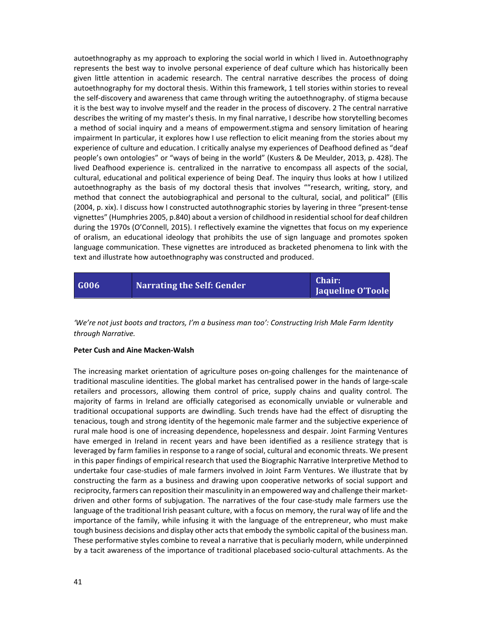autoethnography as my approach to exploring the social world in which I lived in. Autoethnography represents the best way to involve personal experience of deaf culture which has historically been given little attention in academic research. The central narrative describes the process of doing autoethnography for my doctoral thesis. Within this framework, 1 tell stories within stories to reveal the self‐discovery and awareness that came through writing the autoethnography. of stigma because it is the best way to involve myself and the reader in the process of discovery. 2 The central narrative describes the writing of my master's thesis. In my final narrative, I describe how storytelling becomes a method of social inquiry and a means of empowerment.stigma and sensory limitation of hearing impairment In particular, it explores how I use reflection to elicit meaning from the stories about my experience of culture and education. I critically analyse my experiences of Deafhood defined as "deaf people's own ontologies" or "ways of being in the world" (Kusters & De Meulder, 2013, p. 428). The lived Deafhood experience is. centralized in the narrative to encompass all aspects of the social, cultural, educational and political experience of being Deaf. The inquiry thus looks at how I utilized autoethnography as the basis of my doctoral thesis that involves ""research, writing, story, and method that connect the autobiographical and personal to the cultural, social, and political" (Ellis (2004, p. xix). I discuss how I constructed autothnographic stories by layering in three "present-tense" vignettes" (Humphries 2005, p.840) about a version of childhood in residential school for deaf children during the 1970s (O'Connell, 2015). I reflectively examine the vignettes that focus on my experience of oralism, an educational ideology that prohibits the use of sign language and promotes spoken language communication. These vignettes are introduced as bracketed phenomena to link with the text and illustrate how autoethnography was constructed and produced.

| G006 |                            | <b>Chair:</b>     |
|------|----------------------------|-------------------|
|      | Narrating the Self: Gender | Jaqueline O'Toole |

*'We're not just boots and tractors, I'm a business man too': Constructing Irish Male Farm Identity through Narrative.*

#### **Peter Cush and Aine Macken‐Walsh**

The increasing market orientation of agriculture poses on‐going challenges for the maintenance of traditional masculine identities. The global market has centralised power in the hands of large‐scale retailers and processors, allowing them control of price, supply chains and quality control. The majority of farms in Ireland are officially categorised as economically unviable or vulnerable and traditional occupational supports are dwindling. Such trends have had the effect of disrupting the tenacious, tough and strong identity of the hegemonic male farmer and the subjective experience of rural male hood is one of increasing dependence, hopelessness and despair. Joint Farming Ventures have emerged in Ireland in recent years and have been identified as a resilience strategy that is leveraged by farm families in response to a range of social, cultural and economic threats. We present in this paper findings of empirical research that used the Biographic Narrative Interpretive Method to undertake four case‐studies of male farmers involved in Joint Farm Ventures. We illustrate that by constructing the farm as a business and drawing upon cooperative networks of social support and reciprocity, farmers can reposition their masculinity in an empowered way and challenge their market‐ driven and other forms of subjugation. The narratives of the four case‐study male farmers use the language of the traditional Irish peasant culture, with a focus on memory, the rural way of life and the importance of the family, while infusing it with the language of the entrepreneur, who must make tough business decisions and display other acts that embody the symbolic capital of the business man. These performative styles combine to reveal a narrative that is peculiarly modern, while underpinned by a tacit awareness of the importance of traditional placebased socio‐cultural attachments. As the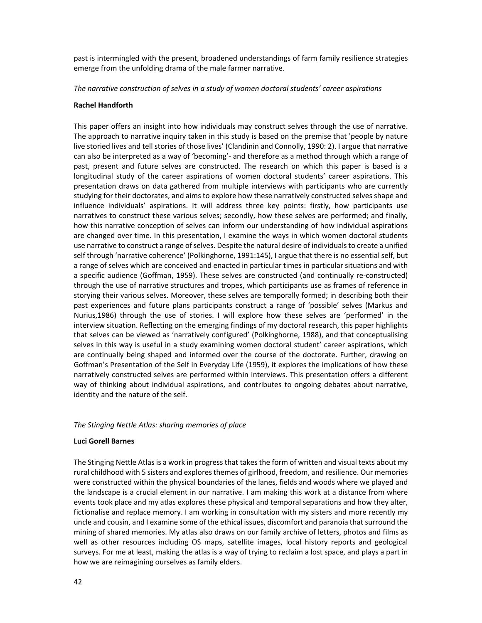past is intermingled with the present, broadened understandings of farm family resilience strategies emerge from the unfolding drama of the male farmer narrative.

*The narrative construction of selves in a study of women doctoral students' career aspirations*

#### **Rachel Handforth**

This paper offers an insight into how individuals may construct selves through the use of narrative. The approach to narrative inquiry taken in this study is based on the premise that 'people by nature live storied lives and tell stories of those lives' (Clandinin and Connolly, 1990: 2). I argue that narrative can also be interpreted as a way of 'becoming'- and therefore as a method through which a range of past, present and future selves are constructed. The research on which this paper is based is a longitudinal study of the career aspirations of women doctoral students' career aspirations. This presentation draws on data gathered from multiple interviews with participants who are currently studying for their doctorates, and aims to explore how these narratively constructed selves shape and influence individuals' aspirations. It will address three key points: firstly, how participants use narratives to construct these various selves; secondly, how these selves are performed; and finally, how this narrative conception of selves can inform our understanding of how individual aspirations are changed over time. In this presentation, I examine the ways in which women doctoral students use narrative to construct a range of selves. Despite the natural desire of individuals to create a unified self through 'narrative coherence' (Polkinghorne, 1991:145), I argue that there is no essential self, but a range of selves which are conceived and enacted in particular times in particular situations and with a specific audience (Goffman, 1959). These selves are constructed (and continually re‐constructed) through the use of narrative structures and tropes, which participants use as frames of reference in storying their various selves. Moreover, these selves are temporally formed; in describing both their past experiences and future plans participants construct a range of 'possible' selves (Markus and Nurius,1986) through the use of stories. I will explore how these selves are 'performed' in the interview situation. Reflecting on the emerging findings of my doctoral research, this paper highlights that selves can be viewed as 'narratively configured' (Polkinghorne, 1988), and that conceptualising selves in this way is useful in a study examining women doctoral student' career aspirations, which are continually being shaped and informed over the course of the doctorate. Further, drawing on Goffman's Presentation of the Self in Everyday Life (1959), it explores the implications of how these narratively constructed selves are performed within interviews. This presentation offers a different way of thinking about individual aspirations, and contributes to ongoing debates about narrative, identity and the nature of the self.

#### *The Stinging Nettle Atlas: sharing memories of place*

#### **Luci Gorell Barnes**

The Stinging Nettle Atlas is a work in progress that takes the form of written and visual texts about my rural childhood with 5 sisters and exploresthemes of girlhood, freedom, and resilience. Our memories were constructed within the physical boundaries of the lanes, fields and woods where we played and the landscape is a crucial element in our narrative. I am making this work at a distance from where events took place and my atlas explores these physical and temporal separations and how they alter, fictionalise and replace memory. I am working in consultation with my sisters and more recently my uncle and cousin, and I examine some of the ethical issues, discomfort and paranoia that surround the mining of shared memories. My atlas also draws on our family archive of letters, photos and films as well as other resources including OS maps, satellite images, local history reports and geological surveys. For me at least, making the atlas is a way of trying to reclaim a lost space, and plays a part in how we are reimagining ourselves as family elders.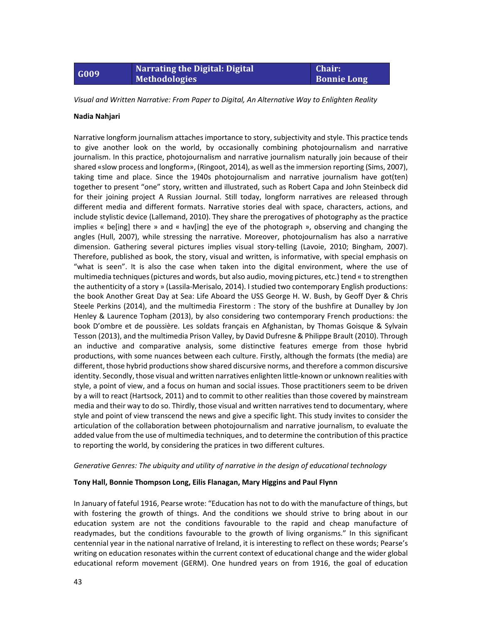### **G009 Narrating the Digital: Digital Methodologies**

**Chair: Bonnie Long**

*Visual and Written Narrative: From Paper to Digital, An Alternative Way to Enlighten Reality*

#### **Nadia Nahjari**

Narrative longform journalism attachesimportance to story, subjectivity and style. This practice tends to give another look on the world, by occasionally combining photojournalism and narrative journalism. In this practice, photojournalism and narrative journalism naturally join because of their shared «slow process and longform», (Ringoot, 2014), as well asthe immersion reporting (Sims, 2007), taking time and place. Since the 1940s photojournalism and narrative journalism have got(ten) together to present "one" story, written and illustrated, such as Robert Capa and John Steinbeck did for their joining project A Russian Journal. Still today, longform narratives are released through different media and different formats. Narrative stories deal with space, characters, actions, and include stylistic device (Lallemand, 2010). They share the prerogatives of photography as the practice implies « be[ing] there » and « hav[ing] the eye of the photograph », observing and changing the angles (Hull, 2007), while stressing the narrative. Moreover, photojournalism has also a narrative dimension. Gathering several pictures implies visual story-telling (Lavoie, 2010; Bingham, 2007). Therefore, published as book, the story, visual and written, is informative, with special emphasis on "what is seen". It is also the case when taken into the digital environment, where the use of multimedia techniques(pictures and words, but also audio, moving pictures, etc.) tend « to strengthen the authenticity of a story » (Lassila‐Merisalo, 2014). I studied two contemporary English productions: the book Another Great Day at Sea: Life Aboard the USS George H. W. Bush, by Geoff Dyer & Chris Steele Perkins (2014), and the multimedia Firestorm : The story of the bushfire at Dunalley by Jon Henley & Laurence Topham (2013), by also considering two contemporary French productions: the book D'ombre et de poussière. Les soldats français en Afghanistan, by Thomas Goisque & Sylvain Tesson (2013), and the multimedia Prison Valley, by David Dufresne & Philippe Brault (2010). Through an inductive and comparative analysis, some distinctive features emerge from those hybrid productions, with some nuances between each culture. Firstly, although the formats (the media) are different, those hybrid productions show shared discursive norms, and therefore a common discursive identity. Secondly, those visual and written narratives enlighten little‐known or unknown realities with style, a point of view, and a focus on human and social issues. Those practitioners seem to be driven by a will to react (Hartsock, 2011) and to commit to other realities than those covered by mainstream media and their way to do so. Thirdly, those visual and written narratives tend to documentary, where style and point of view transcend the news and give a specific light. This study invites to consider the articulation of the collaboration between photojournalism and narrative journalism, to evaluate the added value from the use of multimedia techniques, and to determine the contribution of this practice to reporting the world, by considering the pratices in two different cultures.

#### *Generative Genres: The ubiquity and utility of narrative in the design of educational technology*

#### **Tony Hall, Bonnie Thompson Long, Eilis Flanagan, Mary Higgins and Paul Flynn**

In January of fateful 1916, Pearse wrote: "Education has not to do with the manufacture of things, but with fostering the growth of things. And the conditions we should strive to bring about in our education system are not the conditions favourable to the rapid and cheap manufacture of readymades, but the conditions favourable to the growth of living organisms." In this significant centennial year in the national narrative of Ireland, it is interesting to reflect on these words; Pearse's writing on education resonates within the current context of educational change and the wider global educational reform movement (GERM). One hundred years on from 1916, the goal of education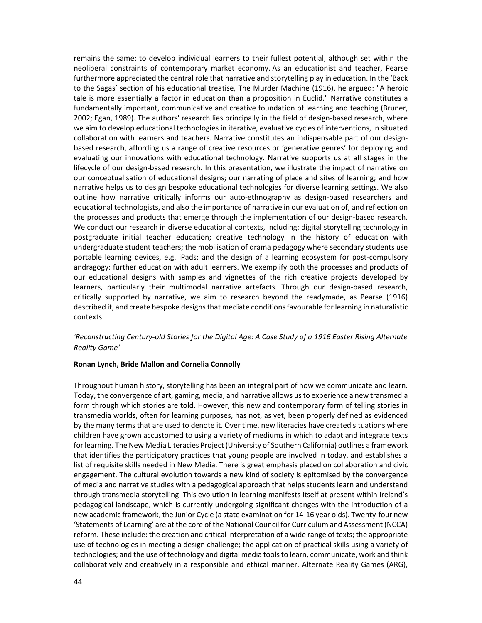remains the same: to develop individual learners to their fullest potential, although set within the neoliberal constraints of contemporary market economy. As an educationist and teacher, Pearse furthermore appreciated the central role that narrative and storytelling play in education. In the 'Back to the Sagas' section of his educational treatise, The Murder Machine (1916), he argued: "A heroic tale is more essentially a factor in education than a proposition in Euclid." Narrative constitutes a fundamentally important, communicative and creative foundation of learning and teaching (Bruner, 2002; Egan, 1989). The authors' research lies principally in the field of design‐based research, where we aim to develop educational technologies in iterative, evaluative cycles of interventions, in situated collaboration with learners and teachers. Narrative constitutes an indispensable part of our designbased research, affording us a range of creative resources or 'generative genres' for deploying and evaluating our innovations with educational technology. Narrative supports us at all stages in the lifecycle of our design-based research. In this presentation, we illustrate the impact of narrative on our conceptualisation of educational designs; our narrating of place and sites of learning; and how narrative helps us to design bespoke educational technologies for diverse learning settings. We also outline how narrative critically informs our auto‐ethnography as design‐based researchers and educational technologists, and also the importance of narrative in our evaluation of, and reflection on the processes and products that emerge through the implementation of our design-based research. We conduct our research in diverse educational contexts, including: digital storytelling technology in postgraduate initial teacher education; creative technology in the history of education with undergraduate student teachers; the mobilisation of drama pedagogy where secondary students use portable learning devices, e.g. iPads; and the design of a learning ecosystem for post-compulsory andragogy: further education with adult learners. We exemplify both the processes and products of our educational designs with samples and vignettes of the rich creative projects developed by learners, particularly their multimodal narrative artefacts. Through our design‐based research, critically supported by narrative, we aim to research beyond the readymade, as Pearse (1916) described it, and create bespoke designs that mediate conditions favourable for learning in naturalistic contexts.

#### 'Reconstructing Century-old Stories for the Digital Age: A Case Study of a 1916 Easter Rising Alternate *Reality Game'*

#### **Ronan Lynch, Bride Mallon and Cornelia Connolly**

Throughout human history, storytelling has been an integral part of how we communicate and learn. Today, the convergence of art, gaming, media, and narrative allows usto experience a new transmedia form through which stories are told. However, this new and contemporary form of telling stories in transmedia worlds, often for learning purposes, has not, as yet, been properly defined as evidenced by the many terms that are used to denote it. Over time, new literacies have created situations where children have grown accustomed to using a variety of mediums in which to adapt and integrate texts for learning. The New Media Literacies Project (University of Southern California) outlines a framework that identifies the participatory practices that young people are involved in today, and establishes a list of requisite skills needed in New Media. There is great emphasis placed on collaboration and civic engagement. The cultural evolution towards a new kind of society is epitomised by the convergence of media and narrative studies with a pedagogical approach that helps students learn and understand through transmedia storytelling. This evolution in learning manifests itself at present within Ireland's pedagogical landscape, which is currently undergoing significant changes with the introduction of a new academic framework, the Junior Cycle (a state examination for 14‐16 year olds). Twenty‐four new 'Statements of Learning' are at the core of the National Council for Curriculum and Assessment (NCCA) reform. These include: the creation and critical interpretation of a wide range of texts; the appropriate use of technologies in meeting a design challenge; the application of practical skills using a variety of technologies; and the use of technology and digital media toolsto learn, communicate, work and think collaboratively and creatively in a responsible and ethical manner. Alternate Reality Games (ARG),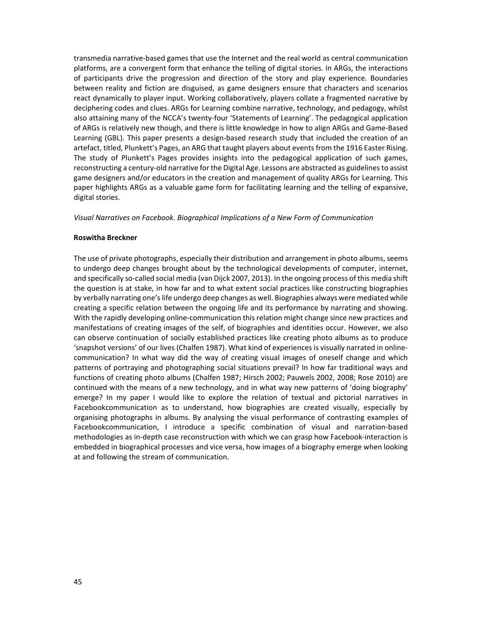transmedia narrative‐based games that use the Internet and the real world as central communication platforms, are a convergent form that enhance the telling of digital stories. In ARGs, the interactions of participants drive the progression and direction of the story and play experience. Boundaries between reality and fiction are disguised, as game designers ensure that characters and scenarios react dynamically to player input. Working collaboratively, players collate a fragmented narrative by deciphering codes and clues. ARGs for Learning combine narrative, technology, and pedagogy, whilst also attaining many of the NCCA's twenty‐four 'Statements of Learning'. The pedagogical application of ARGs is relatively new though, and there is little knowledge in how to align ARGs and Game‐Based Learning (GBL). This paper presents a design-based research study that included the creation of an artefact, titled, Plunkett's Pages, an ARG that taught players about eventsfrom the 1916 Easter Rising. The study of Plunkett's Pages provides insights into the pedagogical application of such games, reconstructing a century-old narrative for the Digital Age. Lessons are abstracted as guidelines to assist game designers and/or educators in the creation and management of quality ARGs for Learning. This paper highlights ARGs as a valuable game form for facilitating learning and the telling of expansive, digital stories.

#### *Visual Narratives on Facebook. Biographical Implications of a New Form of Communication*

#### **Roswitha Breckner**

The use of private photographs, especially their distribution and arrangement in photo albums, seems to undergo deep changes brought about by the technological developments of computer, internet, and specifically so-called social media (van Dijck 2007, 2013). In the ongoing process of this media shift the question is at stake, in how far and to what extent social practices like constructing biographies by verbally narrating one's life undergo deep changes as well. Biographies always were mediated while creating a specific relation between the ongoing life and its performance by narrating and showing. With the rapidly developing online-communication this relation might change since new practices and manifestations of creating images of the self, of biographies and identities occur. However, we also can observe continuation of socially established practices like creating photo albums as to produce 'snapshot versions' of our lives (Chalfen 1987). What kind of experiences is visually narrated in online‐ communication? In what way did the way of creating visual images of oneself change and which patterns of portraying and photographing social situations prevail? In how far traditional ways and functions of creating photo albums (Chalfen 1987; Hirsch 2002; Pauwels 2002, 2008; Rose 2010) are continued with the means of a new technology, and in what way new patterns of 'doing biography' emerge? In my paper I would like to explore the relation of textual and pictorial narratives in Facebookcommunication as to understand, how biographies are created visually, especially by organising photographs in albums. By analysing the visual performance of contrasting examples of Facebookcommunication, I introduce a specific combination of visual and narration‐based methodologies as in-depth case reconstruction with which we can grasp how Facebook-interaction is embedded in biographical processes and vice versa, how images of a biography emerge when looking at and following the stream of communication.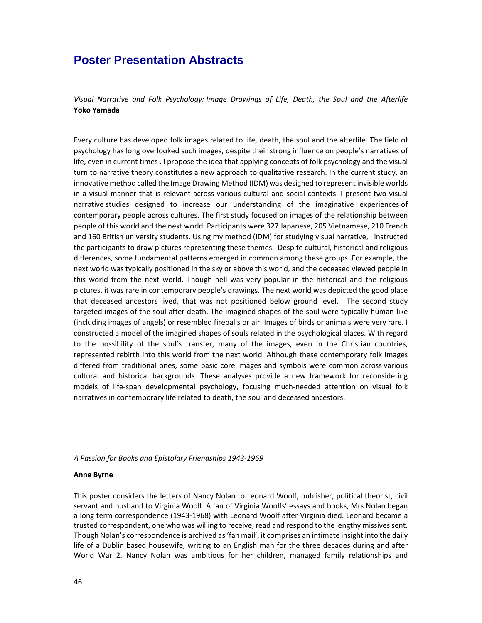### **Poster Presentation Abstracts**

*Visual Narrative and Folk Psychology: Image Drawings of Life, Death, the Soul and the Afterlife* **Yoko Yamada**

Every culture has developed folk images related to life, death, the soul and the afterlife. The field of psychology has long overlooked such images, despite their strong influence on people's narratives of life, even in current times . I propose the idea that applying concepts of folk psychology and the visual turn to narrative theory constitutes a new approach to qualitative research. In the current study, an innovative method called the Image Drawing Method (IDM) was designed to represent invisible worlds in a visual manner that is relevant across various cultural and social contexts. I present two visual narrative studies designed to increase our understanding of the imaginative experiences of contemporary people across cultures. The first study focused on images of the relationship between people of this world and the next world. Participants were 327 Japanese, 205 Vietnamese, 210 French and 160 British university students. Using my method (IDM) for studying visual narrative, I instructed the participants to draw pictures representing these themes. Despite cultural, historical and religious differences, some fundamental patterns emerged in common among these groups. For example, the next world was typically positioned in the sky or above this world, and the deceased viewed people in this world from the next world. Though hell was very popular in the historical and the religious pictures, it was rare in contemporary people's drawings. The next world was depicted the good place that deceased ancestors lived, that was not positioned below ground level. The second study targeted images of the soul after death. The imagined shapes of the soul were typically human-like (including images of angels) or resembled fireballs or air. Images of birds or animals were very rare. I constructed a model of the imagined shapes of souls related in the psychological places. With regard to the possibility of the soul's transfer, many of the images, even in the Christian countries, represented rebirth into this world from the next world. Although these contemporary folk images differed from traditional ones, some basic core images and symbols were common across various cultural and historical backgrounds. These analyses provide a new framework for reconsidering models of life-span developmental psychology, focusing much-needed attention on visual folk narratives in contemporary life related to death, the soul and deceased ancestors.

#### *A Passion for Books and Epistolary Friendships 1943‐1969*

#### **Anne Byrne**

This poster considers the letters of Nancy Nolan to Leonard Woolf, publisher, political theorist, civil servant and husband to Virginia Woolf. A fan of Virginia Woolfs' essays and books, Mrs Nolan began a long term correspondence (1943‐1968) with Leonard Woolf after Virginia died. Leonard became a trusted correspondent, one who was willing to receive, read and respond to the lengthy missives sent. Though Nolan's correspondence is archived as'fan mail', it comprises an intimate insight into the daily life of a Dublin based housewife, writing to an English man for the three decades during and after World War 2. Nancy Nolan was ambitious for her children, managed family relationships and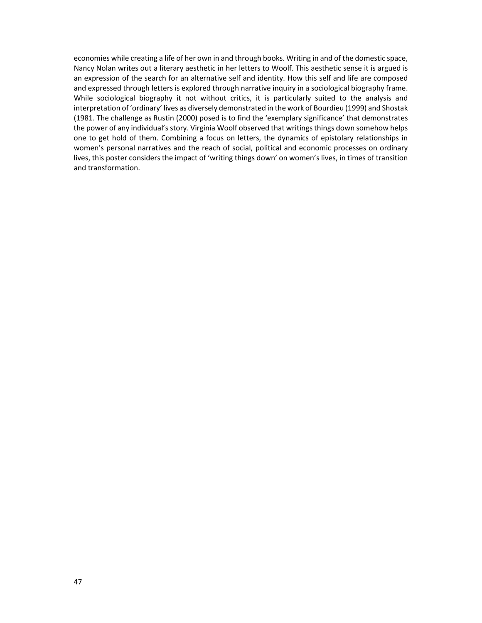economies while creating a life of her own in and through books. Writing in and of the domestic space, Nancy Nolan writes out a literary aesthetic in her letters to Woolf. This aesthetic sense it is argued is an expression of the search for an alternative self and identity. How this self and life are composed and expressed through letters is explored through narrative inquiry in a sociological biography frame. While sociological biography it not without critics, it is particularly suited to the analysis and interpretation of 'ordinary' lives as diversely demonstrated in the work of Bourdieu (1999) and Shostak (1981. The challenge as Rustin (2000) posed is to find the 'exemplary significance' that demonstrates the power of any individual's story. Virginia Woolf observed that writings things down somehow helps one to get hold of them. Combining a focus on letters, the dynamics of epistolary relationships in women's personal narratives and the reach of social, political and economic processes on ordinary lives, this poster considers the impact of 'writing things down' on women's lives, in times of transition and transformation.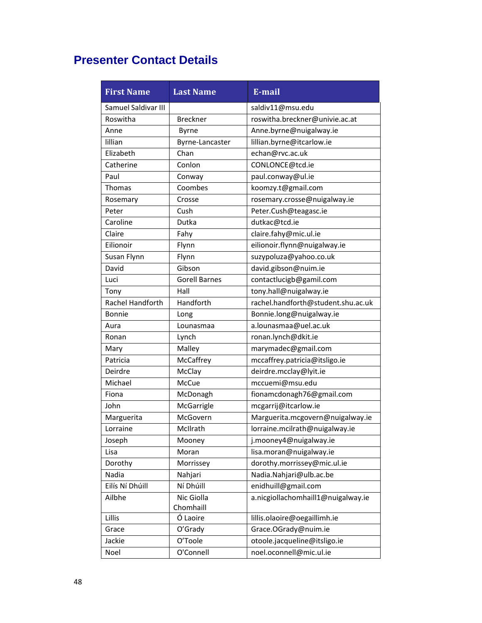### **Presenter Contact Details**

| <b>First Name</b>   | <b>Last Name</b>     | E-mail                             |
|---------------------|----------------------|------------------------------------|
| Samuel Saldivar III |                      | saldiv11@msu.edu                   |
| Roswitha            | <b>Breckner</b>      | roswitha.breckner@univie.ac.at     |
| Anne                | <b>Byrne</b>         | Anne.byrne@nuigalway.ie            |
| lillian             | Byrne-Lancaster      | lillian.byrne@itcarlow.ie          |
| Elizabeth           | Chan                 | echan@rvc.ac.uk                    |
| Catherine           | Conlon               | CONLONCE@tcd.ie                    |
| Paul                | Conway               | paul.conway@ul.ie                  |
| <b>Thomas</b>       | Coombes              | koomzy.t@gmail.com                 |
| Rosemary            | Crosse               | rosemary.crosse@nuigalway.ie       |
| Peter               | Cush                 | Peter.Cush@teagasc.ie              |
| Caroline            | Dutka                | dutkac@tcd.ie                      |
| Claire              | Fahy                 | claire.fahy@mic.ul.ie              |
| Eilionoir           | Flynn                | eilionoir.flynn@nuigalway.ie       |
| Susan Flynn         | Flynn                | suzypoluza@yahoo.co.uk             |
| David               | Gibson               | david.gibson@nuim.ie               |
| Luci                | <b>Gorell Barnes</b> | contactlucigb@gamil.com            |
| Tony                | Hall                 | tony.hall@nuigalway.ie             |
| Rachel Handforth    | Handforth            | rachel.handforth@student.shu.ac.uk |
| Bonnie              | Long                 | Bonnie.long@nuigalway.ie           |
| Aura                | Lounasmaa            | a.lounasmaa@uel.ac.uk              |
| Ronan               | Lynch                | ronan.lynch@dkit.ie                |
| Mary                | Malley               | marymadec@gmail.com                |
| Patricia            | McCaffrey            | mccaffrey.patricia@itsligo.ie      |
| Deirdre             | McClay               | deirdre.mcclay@lyit.ie             |
| Michael             | McCue                | mccuemi@msu.edu                    |
| Fiona               | McDonagh             | fionamcdonagh76@gmail.com          |
| John                | McGarrigle           | mcgarrij@itcarlow.ie               |
| Marguerita          | McGovern             | Marguerita.mcgovern@nuigalway.ie   |
| Lorraine            | McIlrath             | lorraine.mcilrath@nuigalway.ie     |
| Joseph              | Mooney               | j.mooney4@nuigalway.ie             |
| Lisa                | Moran                | lisa.moran@nuigalway.ie            |
| Dorothy             | Morrissey            | dorothy.morrissey@mic.ul.ie        |
| Nadia               | Nahjari              | Nadia.Nahjari@ulb.ac.be            |
| Eilís Ní Dhúill     | Ní Dhúill            | enidhuill@gmail.com                |
| Ailbhe              | Nic Giolla           | a.nicgiollachomhaill1@nuigalway.ie |
|                     | Chomhaill            |                                    |
| Lillis              | Ó Laoire             | lillis.olaoire@oegaillimh.ie       |
| Grace               | O'Grady              | Grace.OGrady@nuim.ie               |
| Jackie              | O'Toole              | otoole.jacqueline@itsligo.ie       |
| Noel                | O'Connell            | noel.oconnell@mic.ul.ie            |